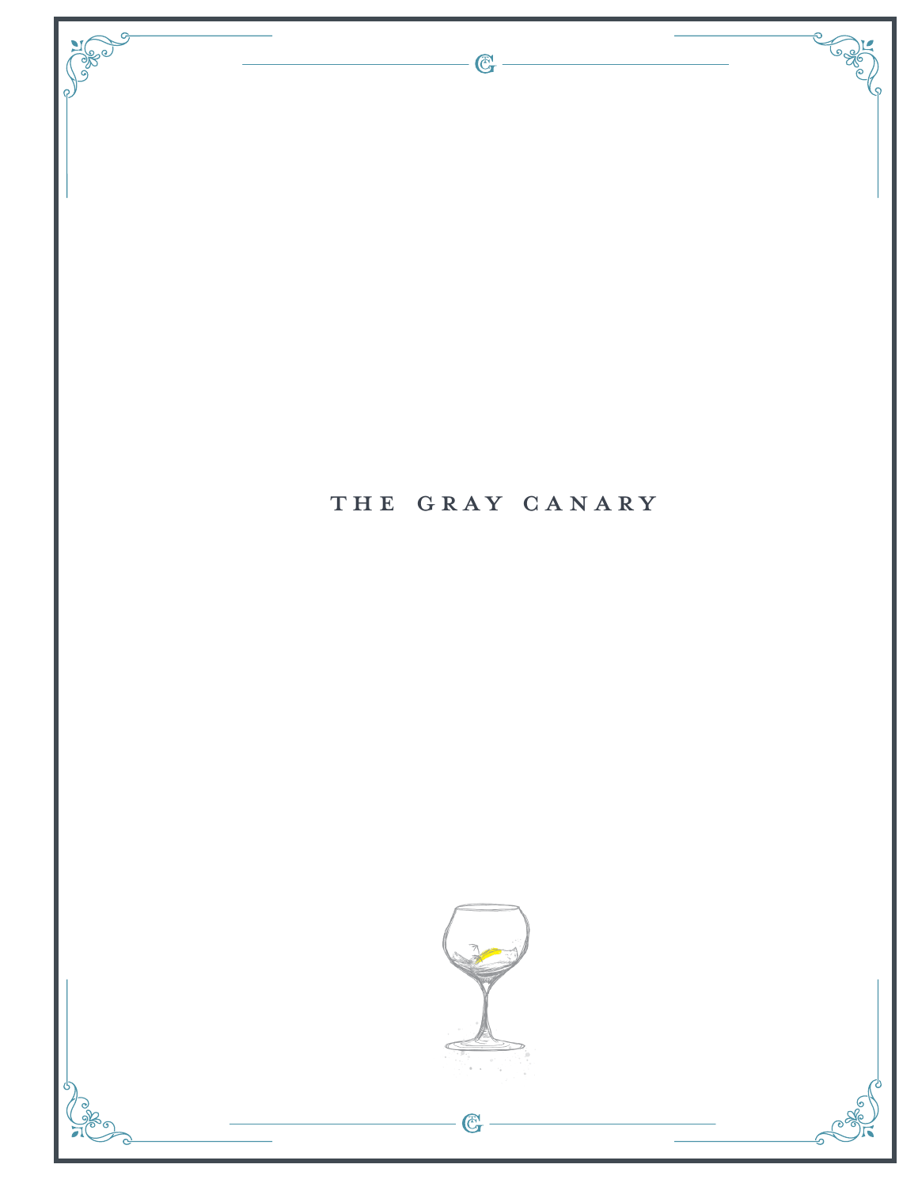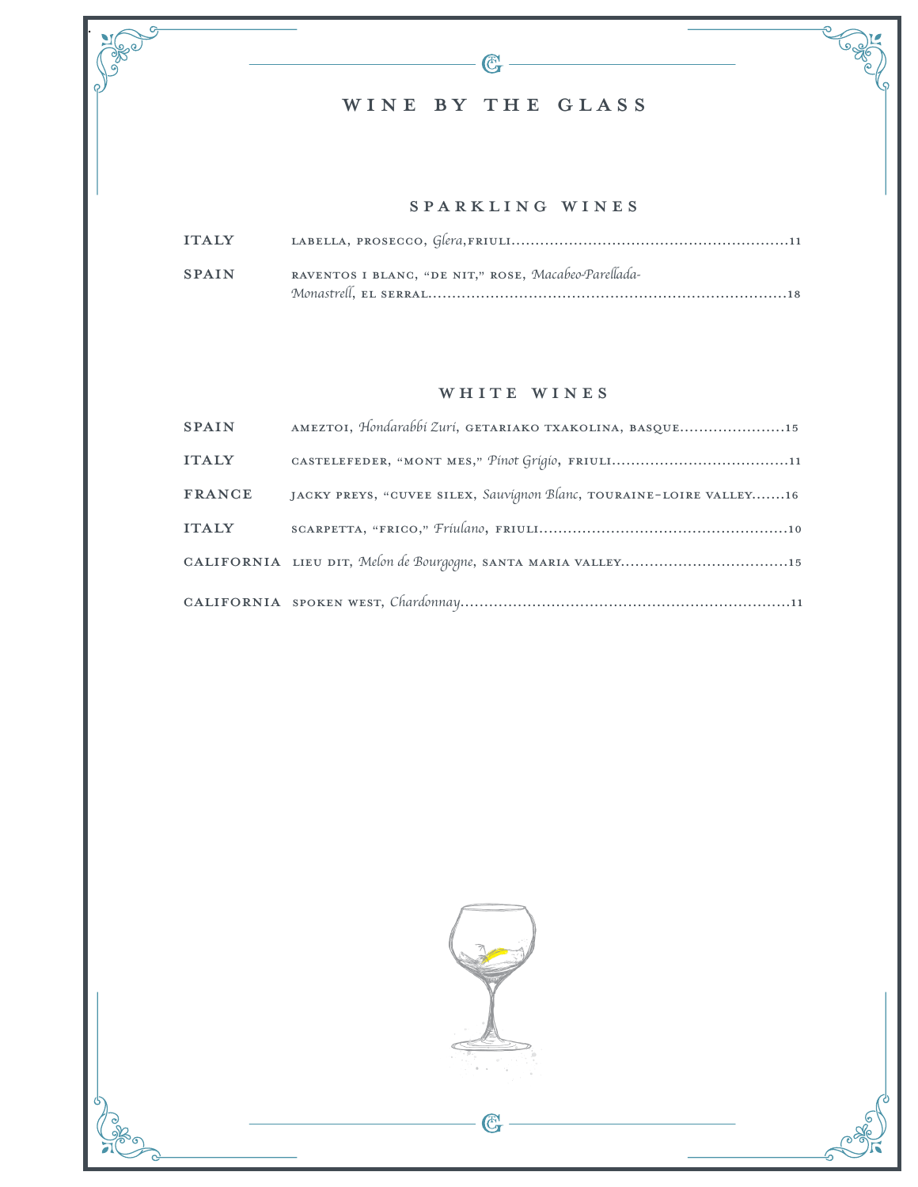## WINE by the glass

.

See )

### SPARKLING WINES

 $\overline{\mathbb{G}}$ 

| <b>SPAIN</b> | RAVENTOS I BLANC, "DE NIT," ROSE, Macabeo-Parellada- |
|--------------|------------------------------------------------------|
|              |                                                      |

#### WHITE WINES

| <b>SPAIN</b>  | AMEZTOI, Hondarabbi Zuri, GETARIAKO TXAKOLINA, BASQUE15             |
|---------------|---------------------------------------------------------------------|
| <b>ITALY</b>  |                                                                     |
| <b>FRANCE</b> | JACKY PREYS, "CUVEE SILEX, Sauvignon Blanc, TOURAINE-LOIRE VALLEY16 |
| <b>ITALY</b>  |                                                                     |
|               |                                                                     |
|               |                                                                     |

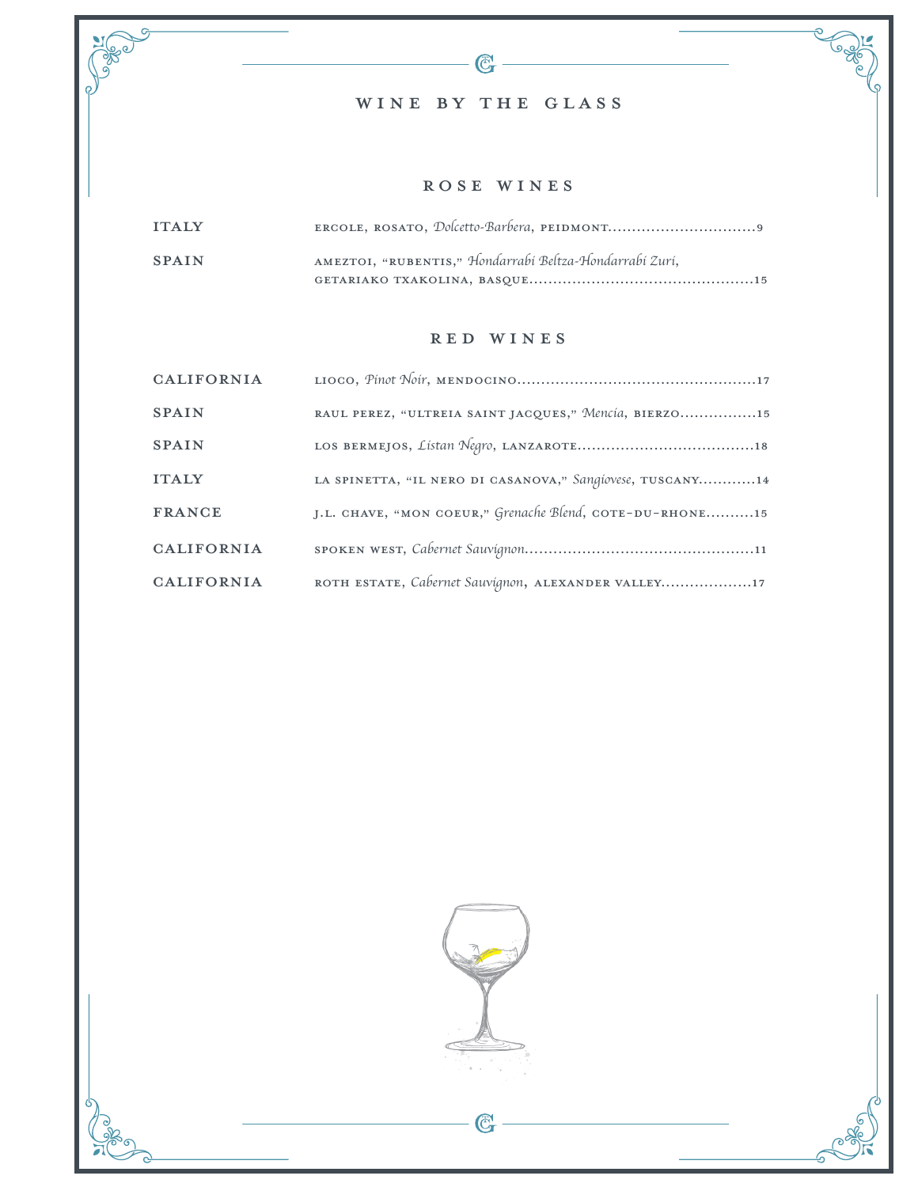# WINE by the glass

 $-\mathbb{G}$ 

 $\sigma_{\!f}$ 

**Region** 

### rose WINES

| <b>ITAIY</b> |                                                         |
|--------------|---------------------------------------------------------|
| <b>SPAIN</b> | AMEZTOI, "RUBENTIS," Hondarrabi Beltza-Hondarrabi Zuri, |
|              |                                                         |

 $\sigma$ 

**PORT** 

#### red WINES

| CALIFORNIA        |                                                           |
|-------------------|-----------------------------------------------------------|
| <b>SPAIN</b>      | RAUL PEREZ, "ULTREIA SAINT JACQUES," Mencía, BIERZO15     |
| <b>SPAIN</b>      |                                                           |
| <b>ITALY</b>      | LA SPINETTA, "IL NERO DI CASANOVA," Sangíovese, TUSCANY14 |
| <b>FRANCE</b>     | J.L. CHAVE, "MON COEUR," Grenache Blend, COTE-DU-RHONE15  |
| <b>CALIFORNIA</b> |                                                           |
| <b>CALIFORNIA</b> | ROTH ESTATE, Cabernet Sauvignon, ALEXANDER VALLEY17       |



 $-\mathbb{G}$ 

5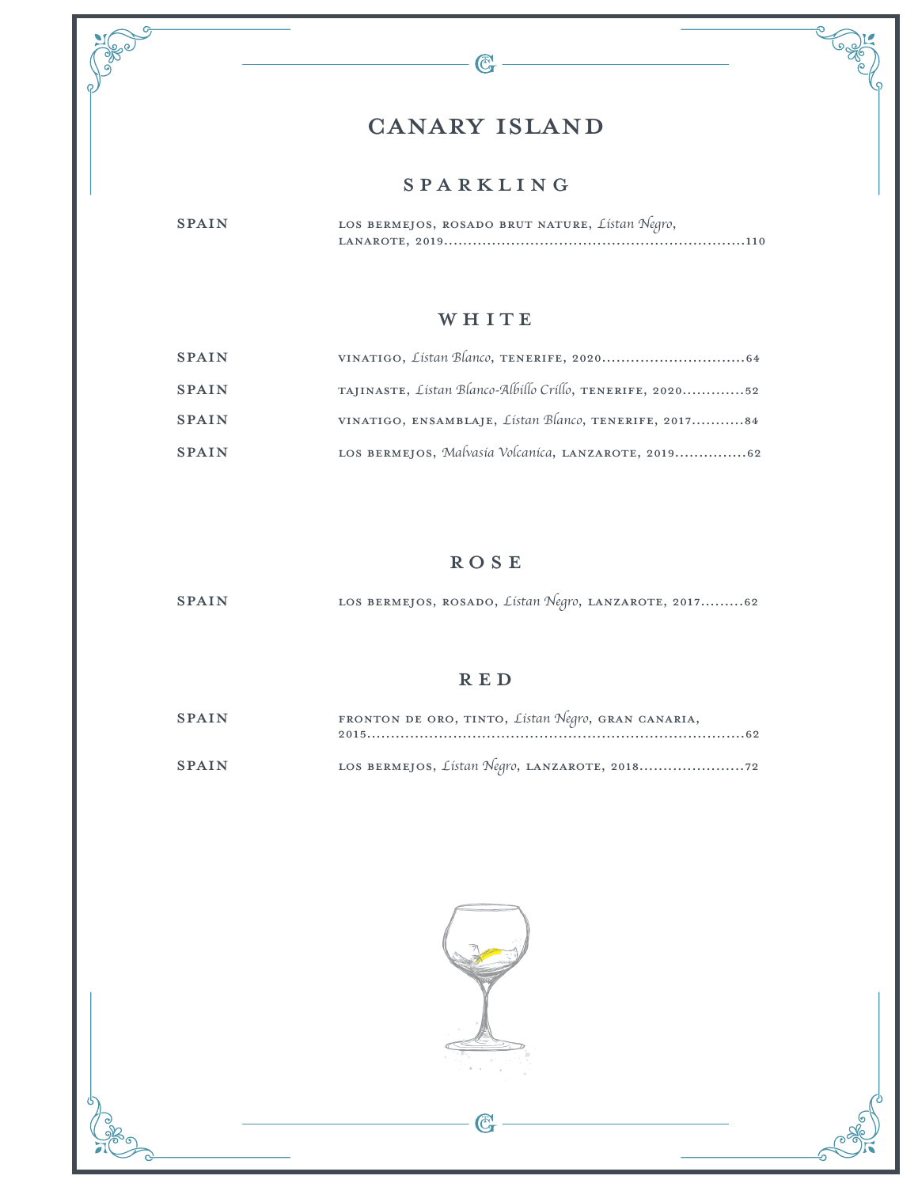# canary island

G

 $S^2$ 

### sparkling

spain Los Bermejos, Rosado Brut Nature, *Listan Negro*, Lanarote, 2019...............................................................110

### WHITE

| <b>SPAIN</b> |                                                           |
|--------------|-----------------------------------------------------------|
| <b>SPAIN</b> | TAJINASTE, Listan Blanco-Albillo Crillo, TENERIFE, 202052 |
| <b>SPAIN</b> | VINATIGO, ENSAMBLAJE, Listan Blanco, TENERIFE, 201784     |
| <b>SPAIN</b> | LOS BERMEJOS, Malvasia Volcanica, LANZAROTE, 201962       |

### **ROSE**

SPAIN LOS BERMEJOS, ROSADO, *Listan Negro*, LANZAROTE, 2017..........62

### **RED**

| <b>SPAIN</b> | FRONTON DE ORO, TINTO, Listan Negro, GRAN CANARIA, |
|--------------|----------------------------------------------------|
| <b>SPAIN</b> |                                                    |

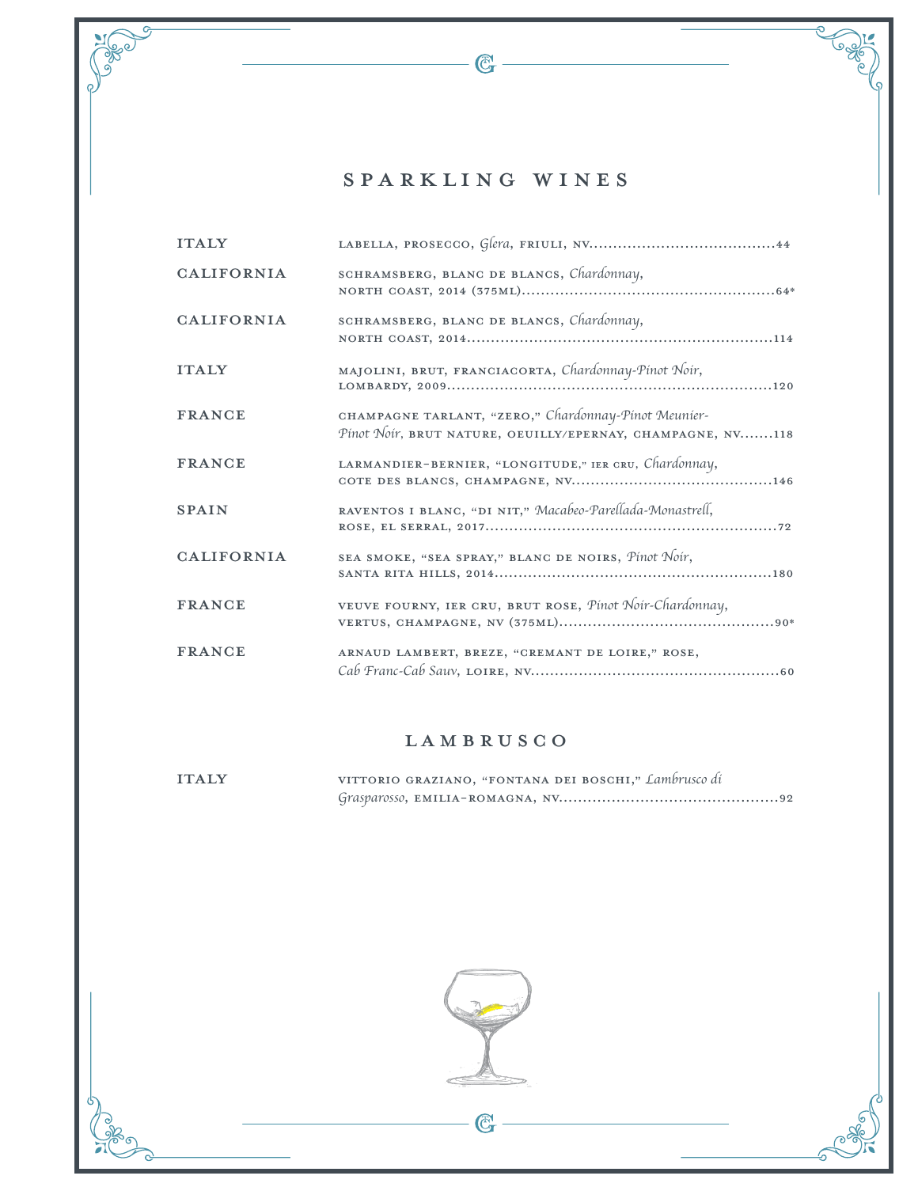# SPARKLING WINES

 $\mathbb{C}$  -

 $\sqrt{\frac{3}{2}}$ 

| <b>ITALY</b>      |                                                                                                                    |
|-------------------|--------------------------------------------------------------------------------------------------------------------|
| <b>CALIFORNIA</b> | SCHRAMSBERG, BLANC DE BLANCS, Chardonnay,                                                                          |
| <b>CALIFORNIA</b> | SCHRAMSBERG, BLANC DE BLANCS, Chardonnay,                                                                          |
| <b>ITALY</b>      | MAJOLINI, BRUT, FRANCIACORTA, Chardonnay-Pinot Noir,                                                               |
| <b>FRANCE</b>     | CHAMPAGNE TARLANT, "ZERO," Chardonnay-Pinot Meunier-<br>Pinot Noir, BRUT NATURE, OEUILLY/EPERNAY, CHAMPAGNE, NV118 |
| <b>FRANCE</b>     | LARMANDIER-BERNIER, "LONGITUDE," IER CRU, Chardonnay,                                                              |
| <b>SPAIN</b>      | RAVENTOS I BLANC, "DI NIT," Macabeo-Parellada-Monastrell,                                                          |
| <b>CALIFORNIA</b> | SEA SMOKE, "SEA SPRAY," BLANC DE NOIRS, Pinot Noir,                                                                |
| <b>FRANCE</b>     | VEUVE FOURNY, IER CRU, BRUT ROSE, Pinot Noir-Chardonnay,                                                           |
| <b>FRANCE</b>     | ARNAUD LAMBERT, BREZE, "CREMANT DE LOIRE," ROSE,                                                                   |

### LAMBRUSCO

| <b>ITAIY</b> | VITTORIO GRAZIANO, "FONTANA DEI BOSCHI," Lambrusco di |
|--------------|-------------------------------------------------------|
|              |                                                       |



 $\overline{\mathbb{G}}$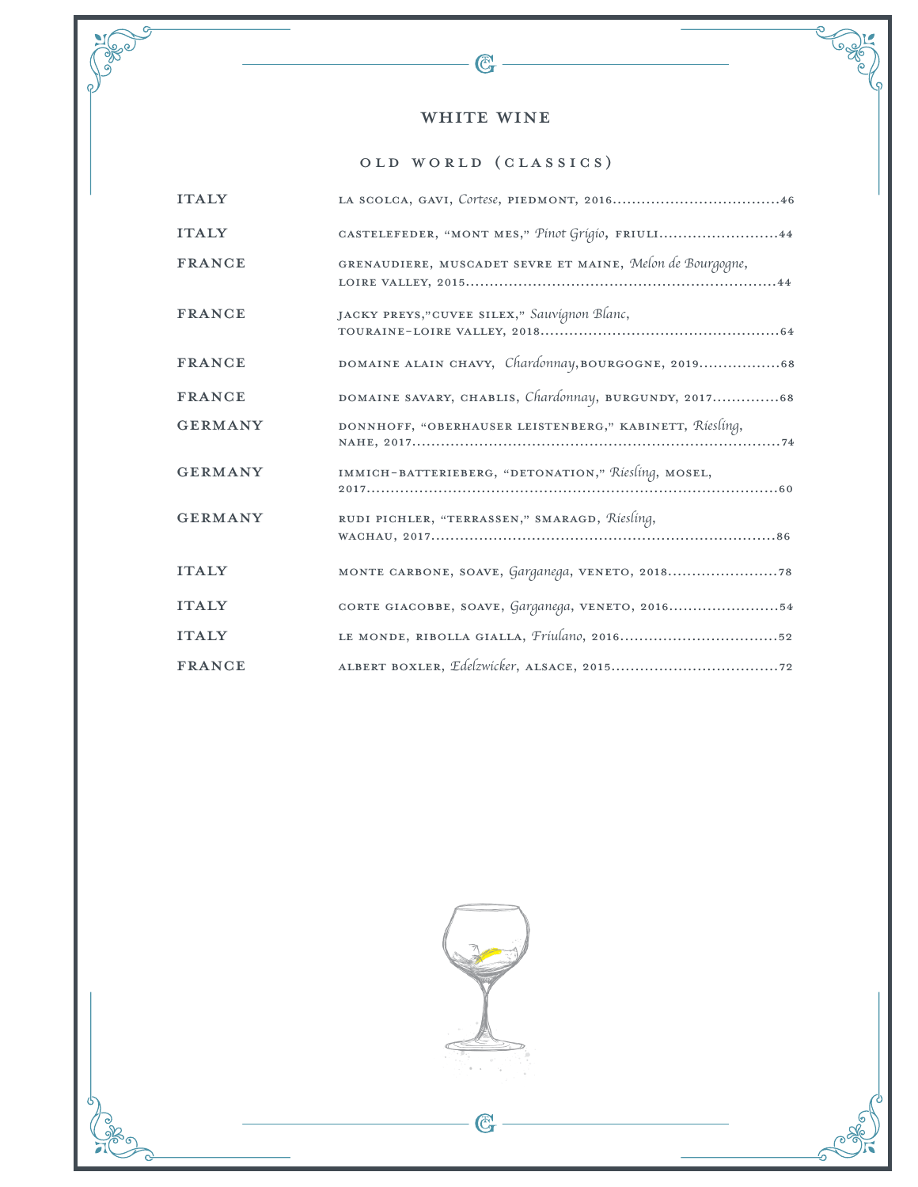### WHITE WINE

 $\mathbb{C}$  -

G

Cape

PUBLIC P

# Old World (Classics)

| <b>ITALY</b>   |                                                           |
|----------------|-----------------------------------------------------------|
| <b>ITALY</b>   | CASTELEFEDER, "MONT MES," Pinot Grigio, FRIULI44          |
| <b>FRANCE</b>  | GRENAUDIERE, MUSCADET SEVRE ET MAINE, Melon de Bourgogne, |
| <b>FRANCE</b>  | JACKY PREYS,"CUVEE SILEX," Sauvignon Blanc,               |
| <b>FRANCE</b>  | DOMAINE ALAIN CHAVY, Chardonnay, BOURGOGNE, 201968        |
| <b>FRANCE</b>  | DOMAINE SAVARY, CHABLIS, Chardonnay, BURGUNDY, 201768     |
| <b>GERMANY</b> | DONNHOFF, "OBERHAUSER LEISTENBERG," KABINETT, Riesling,   |
| <b>GERMANY</b> | IMMICH-BATTERIEBERG, "DETONATION," Riesling, MOSEL,       |
| <b>GERMANY</b> | RUDI PICHLER, "TERRASSEN," SMARAGD, Riesling,             |
| <b>ITALY</b>   |                                                           |
| <b>ITALY</b>   | CORTE GIACOBBE, SOAVE, Garganega, VENETO, 201654          |
| <b>ITALY</b>   |                                                           |
| <b>FRANCE</b>  |                                                           |

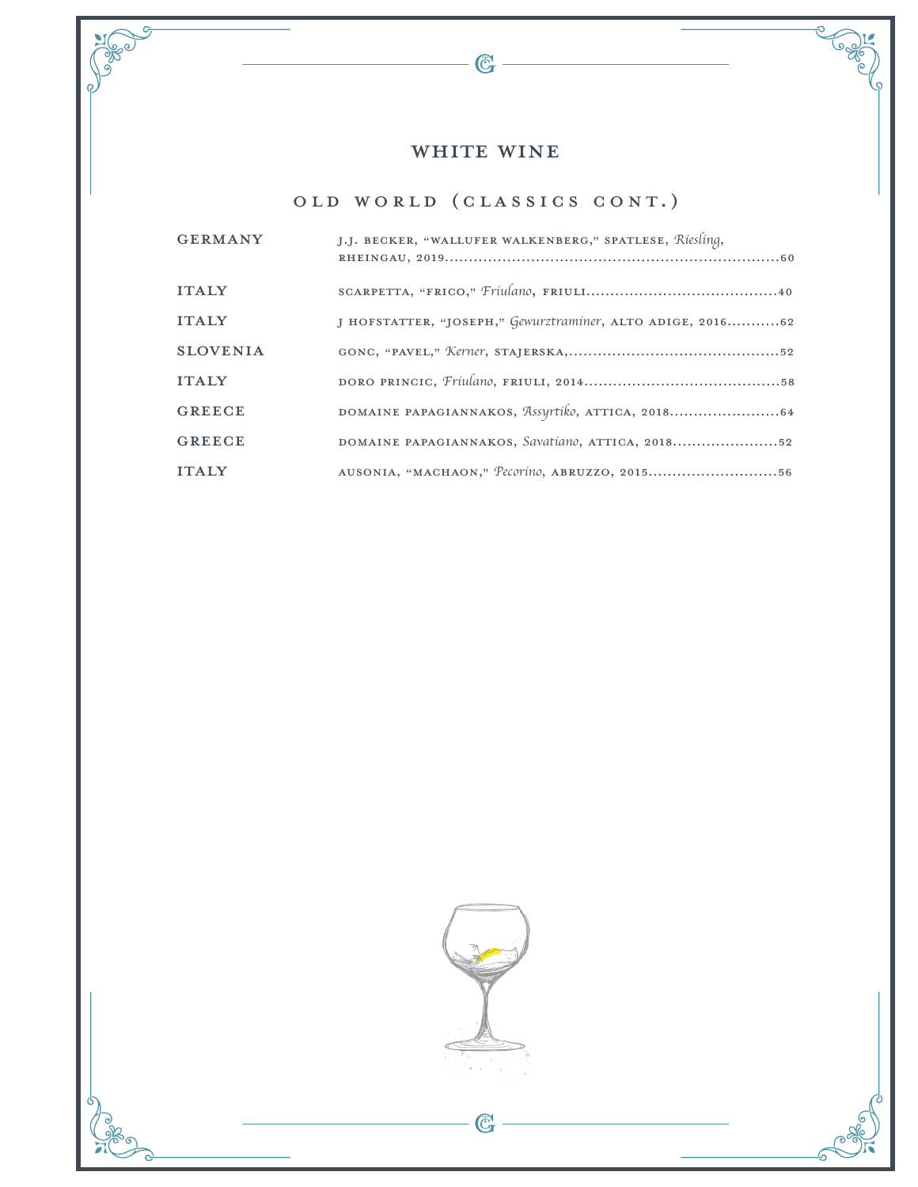# WHITE WINE

 $-\bigcircled{C_{r}}$ 

 $\sqrt{\frac{3}{9}}$ 

# Old World (Classics Cont.)

| <b>GERMANY</b>  | J.J. BECKER, "WALLUFER WALKENBERG," SPATLESE, Riesling,     |
|-----------------|-------------------------------------------------------------|
| <b>ITALY</b>    |                                                             |
| <b>ITALY</b>    | J HOFSTATTER, "JOSEPH," Gewurztraminer, ALTO ADIGE, 2016 62 |
| <b>SLOVENIA</b> |                                                             |
| <b>ITALY</b>    |                                                             |
| <b>GREECE</b>   |                                                             |
| <b>GREECE</b>   | DOMAINE PAPAGIANNAKOS, Savatíano, ATTICA, 201852            |
| <b>ITALY</b>    | AUSONIA, "MACHAON," Pecorino, ABRUZZO, 201556               |

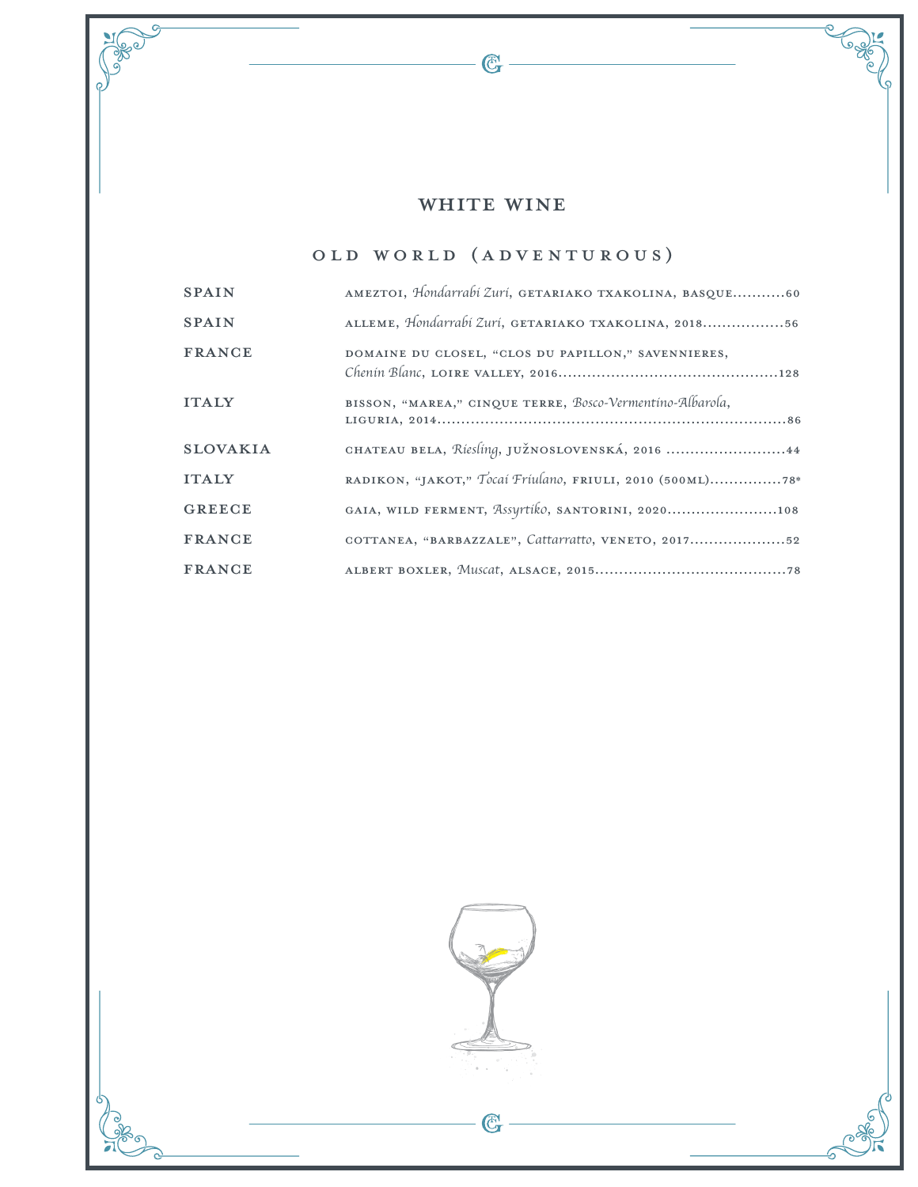# WHITE WINE

 $\overline{\mathbb{G}}$  –

**PORT** 

# Old World (Adventurous)

| <b>SPAIN</b>    | AMEZTOI, Hondarrabi Zuri, GETARIAKO TXAKOLINA, BASQUE60   |
|-----------------|-----------------------------------------------------------|
| <b>SPAIN</b>    | ALLEME, Hondarrabi Zuri, GETARIAKO TXAKOLINA, 201856      |
| <b>FRANCE</b>   | DOMAINE DU CLOSEL, "CLOS DU PAPILLON," SAVENNIERES,       |
| <b>ITALY</b>    | BISSON, "MAREA," CINQUE TERRE, Bosco-Vermentino-Albarola, |
| <b>SLOVAKIA</b> | CHATEAU BELA, Riesling, JUŽNOSLOVENSKÁ, 2016 44           |
| <b>ITALY</b>    | RADIKON, "JAKOT," Tocai Friulano, FRIULI, 2010 (500ML)78* |
| <b>GREECE</b>   | GAIA, WILD FERMENT, Assyrtiko, SANTORINI, 2020108         |
| <b>FRANCE</b>   | COTTANEA, "BARBAZZALE", Cattarratto, VENETO, 201752       |
| <b>FRANCE</b>   |                                                           |

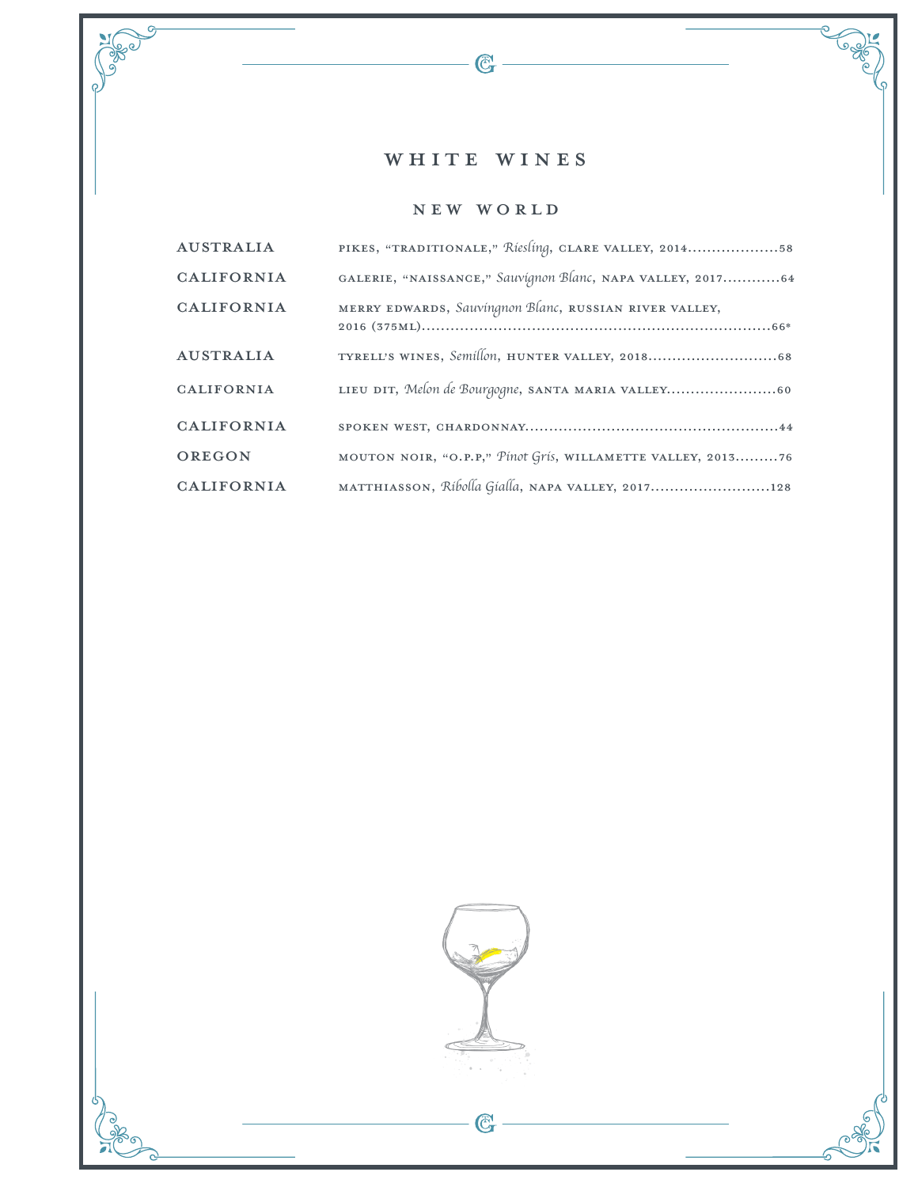# WHITE WINES

 $-\mathbb{G}$  -

**CONSTRUCTION** 

**POSTER** 

### New World

| <b>AUSTRALIA</b>  | PIKES, "TRADITIONALE," Riesling, CLARE VALLEY, 201458       |
|-------------------|-------------------------------------------------------------|
| <b>CALIFORNIA</b> | GALERIE, "NAISSANCE," Sauvignon Blanc, NAPA VALLEY, 201764  |
| <b>CALIFORNIA</b> | MERRY EDWARDS, Sauvingnon Blanc, RUSSIAN RIVER VALLEY,      |
| <b>AUSTRALIA</b>  |                                                             |
| <b>CALIFORNIA</b> | LIEU DIT, Melon de Bourgogne, SANTA MARIA VALLEY60          |
| <b>CALIFORNIA</b> |                                                             |
| OREGON            | MOUTON NOIR, "O.P.P," Pinot Gris, WILLAMETTE VALLEY, 201376 |
| <b>CALIFORNIA</b> | MATTHIASSON, Ribolla Gialla, NAPA VALLEY, 2017128           |

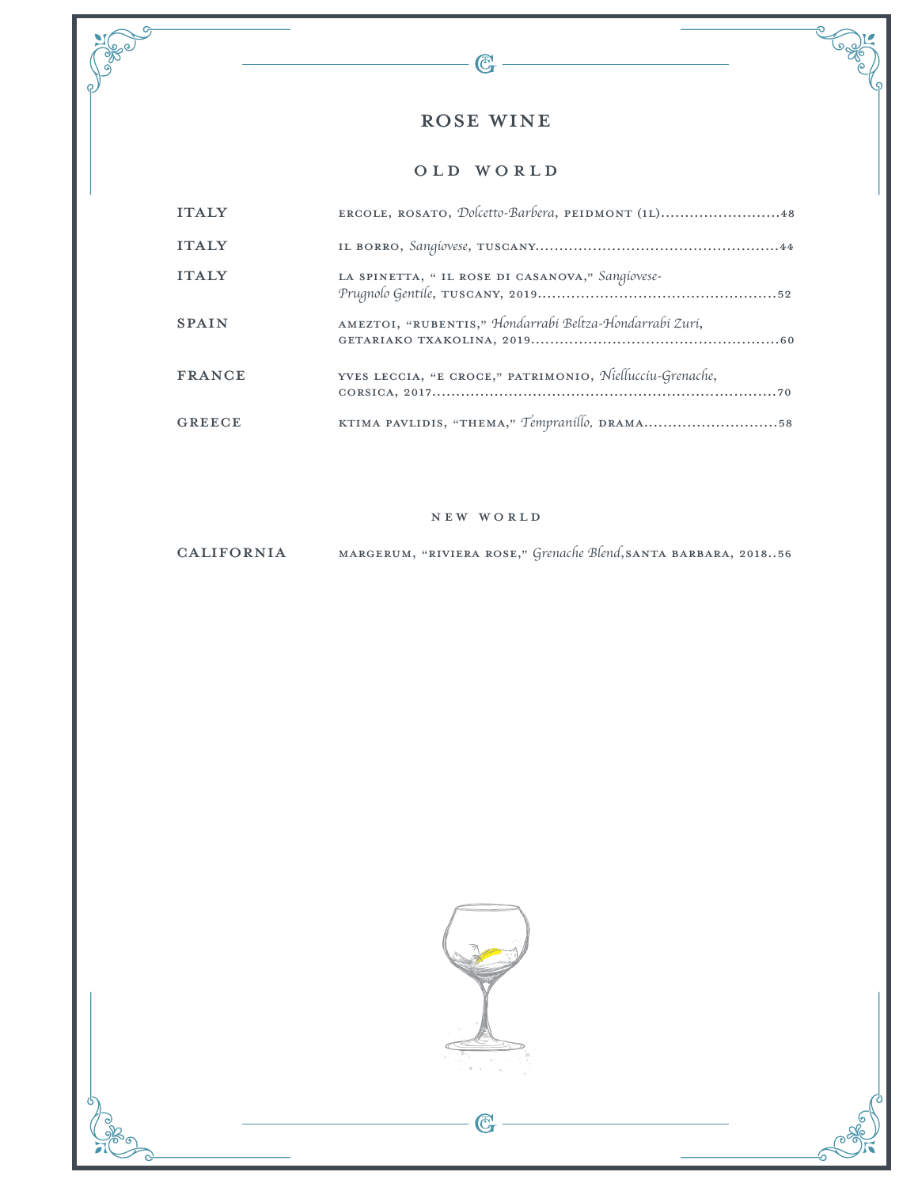# rose WINE

 $\mathbb{G}$ 

 $\sqrt{\frac{3}{2}}$ 

#### OLD WORLD

| <b>ITALY</b>  | ERGOLE, ROSATO, Dolcetto-Barbera, PEIDMONT (IL)48        |
|---------------|----------------------------------------------------------|
| <b>ITALY</b>  |                                                          |
| <b>ITALY</b>  | LA SPINETTA, " IL ROSE DI CASANOVA," Sangiovese-         |
| <b>SPAIN</b>  | AMEZTOI, "RUBENTIS," Hondarrabi Beltza-Hondarrabi Zuri,  |
| <b>FRANCE</b> | YVES LECCIA, "E CROCE," PATRIMONIO, Niellucciu-Grenache, |
| <b>GREECE</b> | KTIMA PAVLIDIS, "THEMA," Tempranillo, DRAMA58            |

#### New World

### California Margerum, "Riviera Rose," *Grenache Blend*,Santa Barbara, 2018..56



G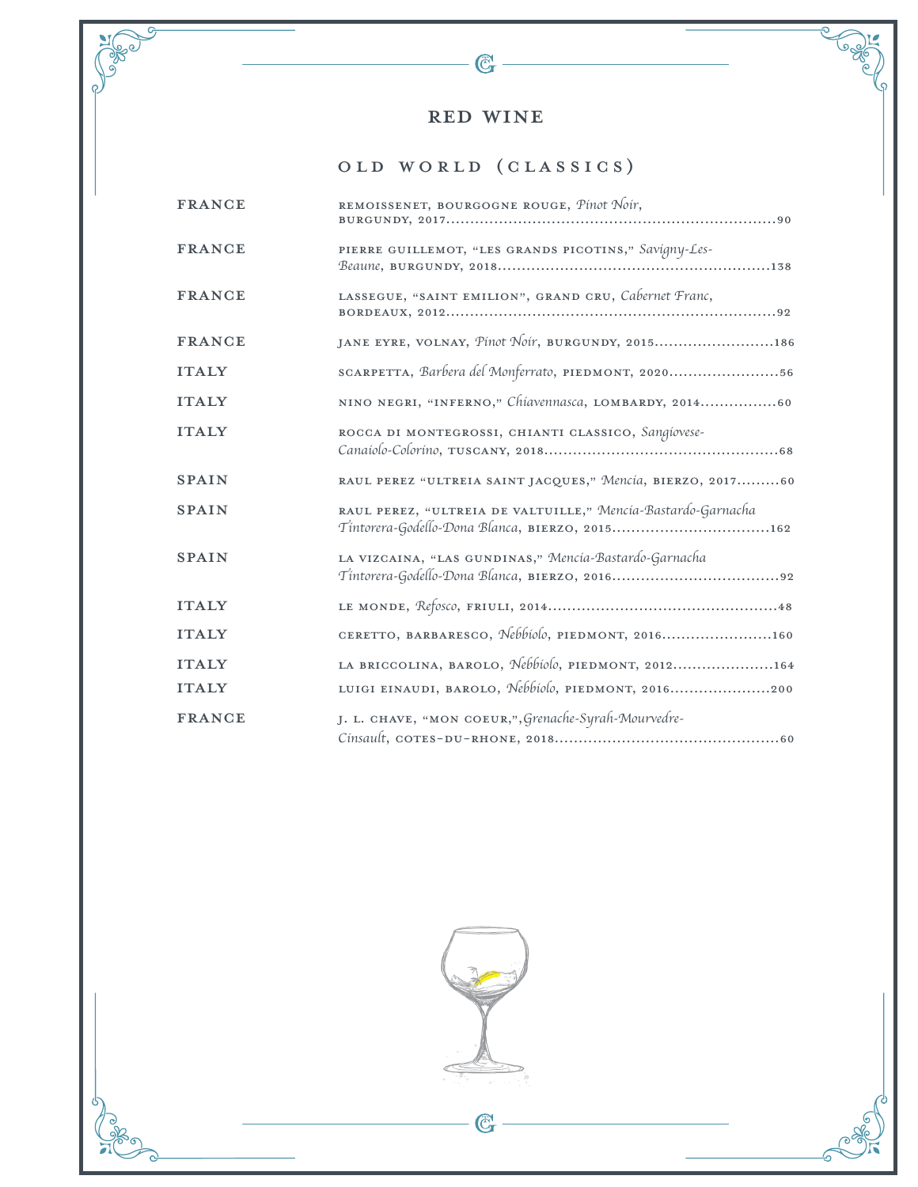$\mathbb{C}$  -

 $\frac{1}{2}$ 

# Old World (Classics)

| <b>FRANCE</b> | REMOISSENET, BOURGOGNE ROUGE, Pinot Noir,                                                                      |
|---------------|----------------------------------------------------------------------------------------------------------------|
| <b>FRANCE</b> | PIERRE GUILLEMOT, "LES GRANDS PICOTINS," Savigny-Les-                                                          |
| <b>FRANCE</b> | LASSEGUE, "SAINT EMILION", GRAND CRU, Cabernet Franc,                                                          |
| <b>FRANCE</b> | JANE EYRE, VOLNAY, Pinot Noir, BURGUNDY, 2015186                                                               |
| <b>ITALY</b>  | SCARPETTA, Barbera del Monferrato, PIEDMONT, 202056                                                            |
| <b>ITALY</b>  | NINO NEGRI, "INFERNO," Chiavennasca, LOMBARDY, 201460                                                          |
| <b>ITALY</b>  | ROCCA DI MONTEGROSSI, CHIANTI CLASSICO, Sangíovese-                                                            |
| <b>SPAIN</b>  | RAUL PEREZ "ULTREIA SAINT JACQUES," Mencía, BIERZO, 201760                                                     |
| <b>SPAIN</b>  | RAUL PEREZ, "ULTREIA DE VALTUILLE," Mencia-Bastardo-Garnacha<br>Tintorera-Godello-Dona Blanca, BIERZO, 2015162 |
| <b>SPAIN</b>  | LA VIZCAINA, "LAS GUNDINAS," Mencía-Bastardo-Garnacha                                                          |
| <b>ITALY</b>  |                                                                                                                |
| <b>ITALY</b>  | CERETTO, BARBARESCO, Nebbiolo, PIEDMONT, 2016160                                                               |
| <b>ITALY</b>  | LA BRICCOLINA, BAROLO, Nebbiolo, PIEDMONT, 2012164                                                             |
| <b>ITALY</b>  | LUIGI EINAUDI, BAROLO, Nebbiolo, PIEDMONT, 2016200                                                             |
| <b>FRANCE</b> | J. L. CHAVE, "MON COEUR,", Grenache-Syrah-Mourvedre-                                                           |



 $\mathbb{G}$ 

5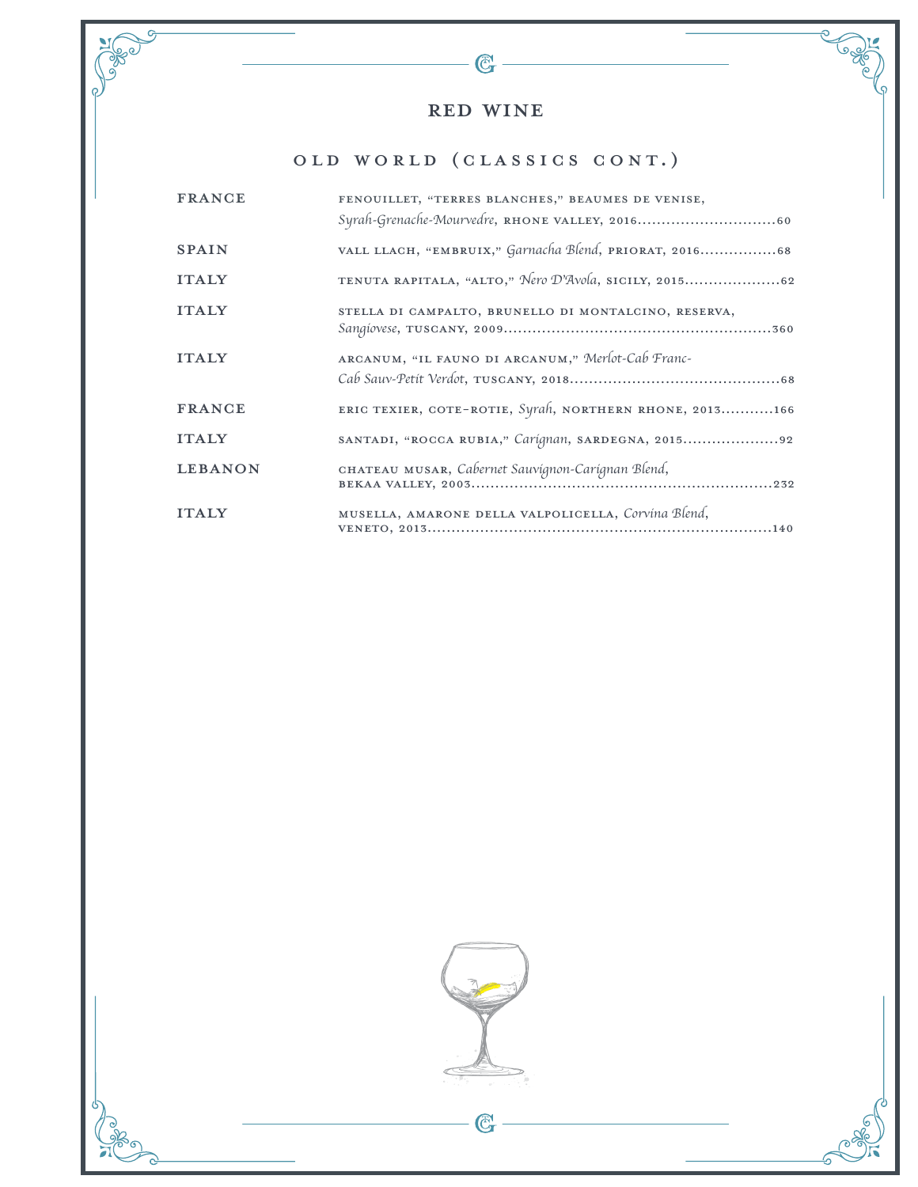$-\mathfrak{C}$ 

**Sege** 

**CONSCRIPTION** 

# Old World (Classics Cont.)

| <b>FRANCE</b>  | FENOUILLET, "TERRES BLANCHES," BEAUMES DE VENISE,       |
|----------------|---------------------------------------------------------|
| <b>SPAIN</b>   | VALL LLACH, "EMBRUIX," Garnacha Blend, PRIORAT, 201668  |
| <b>ITALY</b>   | TENUTA RAPITALA, "ALTO," Nero D'Avola, SICILY, 201562   |
| <b>ITALY</b>   | STELLA DI CAMPALTO, BRUNELLO DI MONTALCINO, RESERVA,    |
| <b>ITALY</b>   | ARCANUM, "IL FAUNO DI ARCANUM," Merlot-Cab Franc-       |
| <b>FRANCE</b>  | ERIC TEXIER, COTE-ROTIE, Syrah, NORTHERN RHONE, 2013166 |
| <b>ITALY</b>   | SANTADI, "ROCCA RUBIA," Carignan, SARDEGNA, 201592      |
| <b>LEBANON</b> | CHATEAU MUSAR, Cabernet Sauvignon-Carignan Blend,       |
| <b>ITALY</b>   | MUSELLA, AMARONE DELLA VALPOLICELLA, Corvina Blend,     |

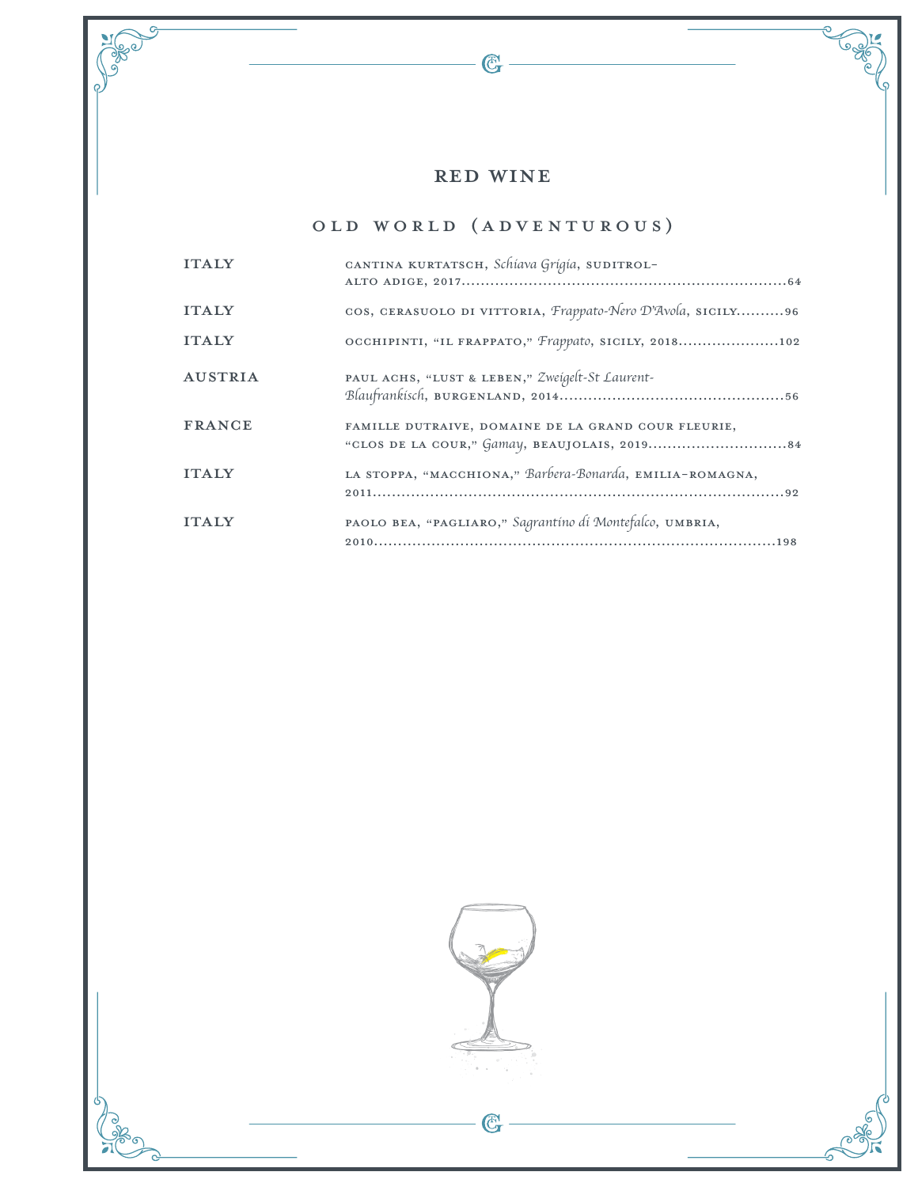$-\mathbb{G}$  -

G

**Telesion** 

**SEP 09** 

# Old World (Adventurous)

| <b>ITALY</b>   | CANTINA KURTATSCH, Schiava Grigia, SUDITROL-                |
|----------------|-------------------------------------------------------------|
| <b>ITALY</b>   | cos, CERASUOLO DI VITTORIA, Frappato-Nero D'Avola, SICILY96 |
| <b>ITALY</b>   | OCCHIPINTI, "IL FRAPPATO," Frappato, SICILY, 2018102        |
| <b>AUSTRIA</b> | PAUL ACHS, "LUST & LEBEN," Zweigelt-St Laurent-             |
| <b>FRANCE</b>  | FAMILLE DUTRAIVE, DOMAINE DE LA GRAND COUR FLEURIE,         |
| <b>ITALY</b>   | LA STOPPA, "MACCHIONA," Barbera-Bonarda, EMILIA-ROMAGNA,    |
| <b>ITALY</b>   | PAOLO BEA, "PAGLIARO," Sagrantino di Montefalco, UMBRIA,    |

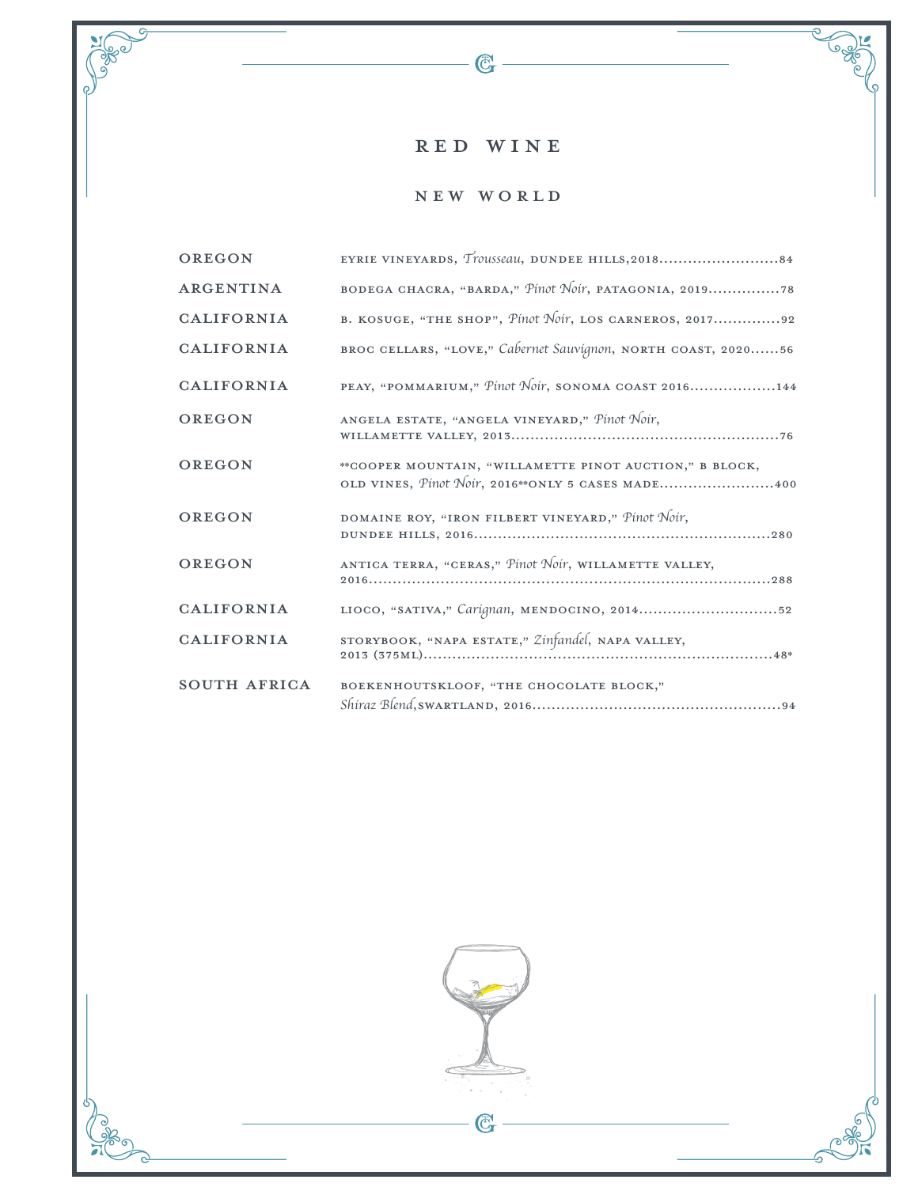$-\mathbb{G}$  -

Jewe

 $\overline{c}$ 

Cool

ೌ 5

New World

| OREGON              |                                                                                                                |
|---------------------|----------------------------------------------------------------------------------------------------------------|
| ARGENTINA           | BODEGA CHACRA, "BARDA," Pinot Noir, PATAGONIA, 201978                                                          |
| <b>CALIFORNIA</b>   | B. KOSUGE, "THE SHOP", Pinot Noir, LOS CARNEROS, 201792                                                        |
| <b>CALIFORNIA</b>   | BROC CELLARS, "LOVE," Cabernet Sauvignon, NORTH COAST, 202056                                                  |
| <b>CALIFORNIA</b>   | PEAY, "POMMARIUM," Pinot Noir, SONOMA COAST 2016144                                                            |
| OREGON              | ANGELA ESTATE, "ANGELA VINEYARD," Pinot Noir,                                                                  |
| OREGON              | ** COOPER MOUNTAIN, "WILLAMETTE PINOT AUCTION," B BLOCK,<br>OLD VINES, Pinot Noir, 2016** ONLY 5 CASES MADE400 |
| OREGON              | DOMAINE ROY, "IRON FILBERT VINEYARD," Pinot Noir,                                                              |
| OREGON              | ANTICA TERRA, "CERAS," Pinot Noir, WILLAMETTE VALLEY,                                                          |
| <b>CALIFORNIA</b>   | LIOCO, "SATIVA," Carignan, MENDOCINO, 201452                                                                   |
| <b>CALIFORNIA</b>   | STORYBOOK, "NAPA ESTATE," Zinfandel, NAPA VALLEY,                                                              |
| <b>SOUTH AFRICA</b> | BOEKENHOUTSKLOOF, "THE CHOCOLATE BLOCK,"                                                                       |

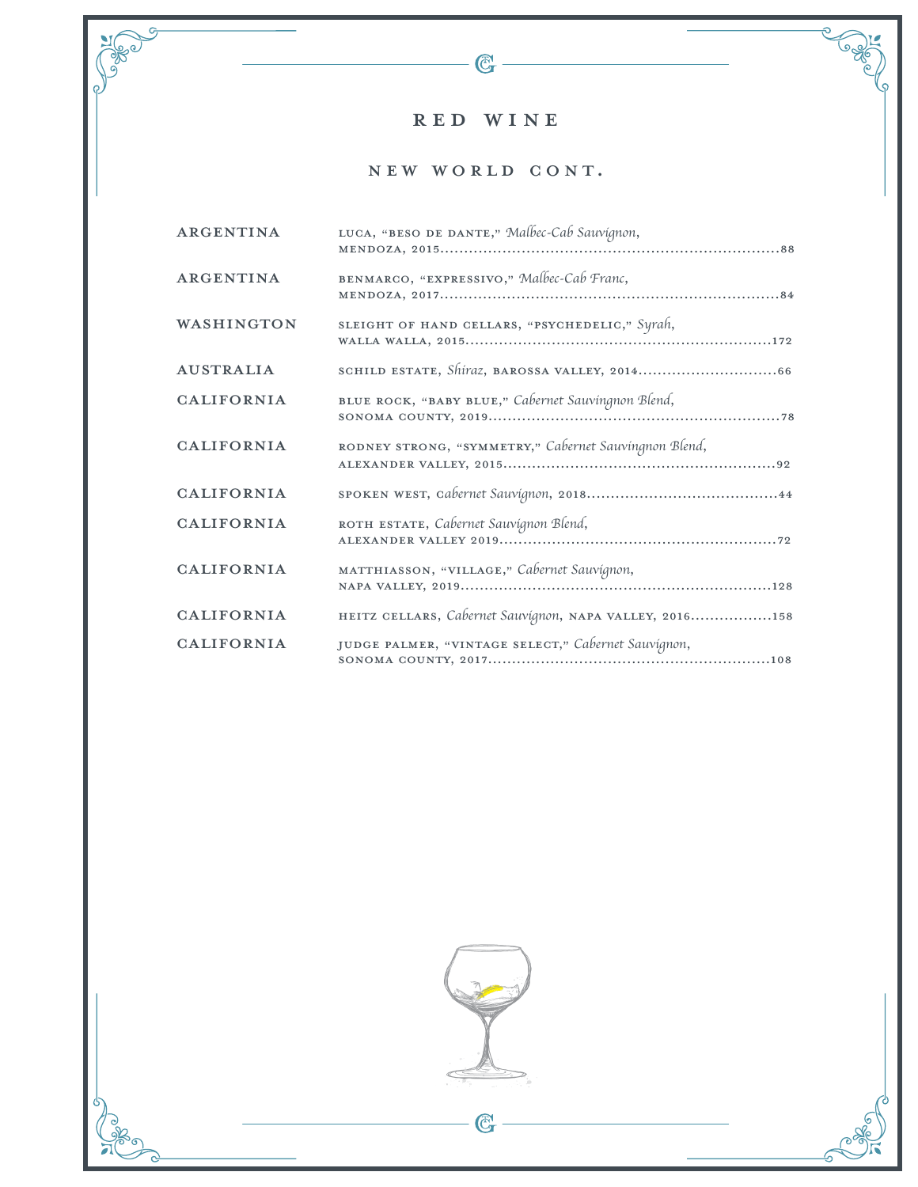$-\bigcircled{C}$ 

**Cape** 

ೌ 5

 $\overline{Q}$ 

<u>ခ</u>

**PORT** 

### NEW WORLD CONT.

| ARGENTINA         | LUCA, "BESO DE DANTE," Malbec-Cab Sauvignon,            |
|-------------------|---------------------------------------------------------|
| ARGENTINA         | BENMARCO, "EXPRESSIVO," Malbec-Cab Franc,               |
| WASHINGTON        | SLEIGHT OF HAND CELLARS, "PSYCHEDELIC," Syrah,          |
| <b>AUSTRALIA</b>  |                                                         |
| <b>CALIFORNIA</b> | BLUE ROCK, "BABY BLUE," Cabernet Sauvingnon Blend,      |
| <b>CALIFORNIA</b> | RODNEY STRONG, "SYMMETRY," Cabernet Sauvingnon Blend,   |
| <b>CALIFORNIA</b> |                                                         |
| <b>CALIFORNIA</b> | ROTH ESTATE, Cabernet Sauvignon Blend,                  |
| <b>CALIFORNIA</b> | MATTHIASSON, "VILLAGE," Cabernet Sauvignon,             |
| <b>CALIFORNIA</b> | HEITZ CELLARS, Cabernet Sauvignon, NAPA VALLEY, 2016158 |
| <b>CALIFORNIA</b> | JUDGE PALMER, "VINTAGE SELECT," Cabernet Sauvignon,     |



 $\overline{\mathbb{G}}$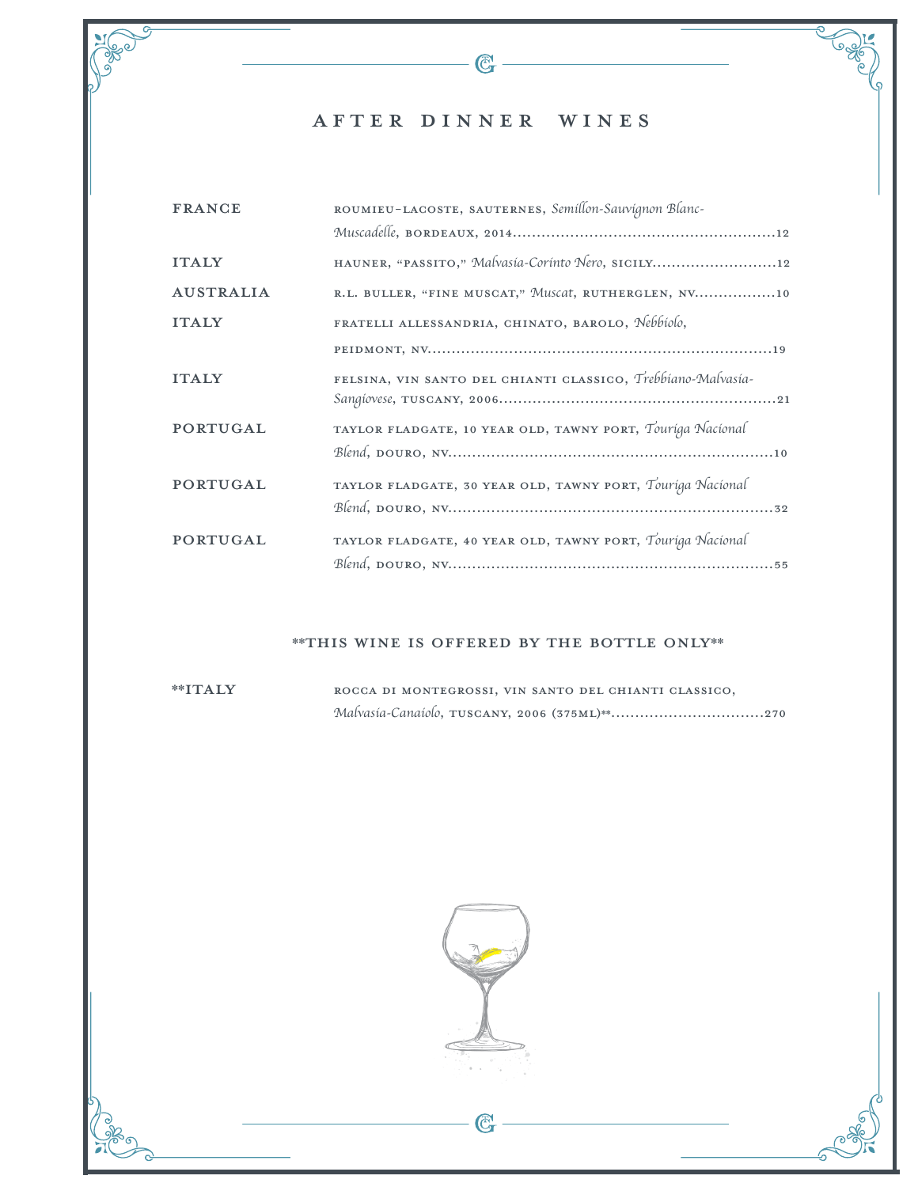### after dinner Wines

 $\mathbb{G}$ 

| <b>FRANCE</b>    | ROUMIEU-LACOSTE, SAUTERNES, Semillon-Sauvignon Blanc-        |
|------------------|--------------------------------------------------------------|
|                  |                                                              |
| <b>ITALY</b>     | HAUNER, "PASSITO," Malvasia-Corinto Nero, SICILY12           |
| <b>AUSTRALIA</b> | R.L. BULLER, "FINE MUSCAT," Muscat, RUTHERGLEN, NV10         |
| <b>ITALY</b>     | FRATELLI ALLESSANDRIA, CHINATO, BAROLO, Nebbiolo,            |
|                  |                                                              |
| <b>ITALY</b>     | FELSINA, VIN SANTO DEL CHIANTI CLASSICO, Trebbiano-Malvasia- |
| PORTUGAL         | TAYLOR FLADGATE, 10 YEAR OLD, TAWNY PORT, Touriga Nacional   |
| <b>PORTUGAL</b>  | TAYLOR FLADGATE, 30 YEAR OLD, TAWNY PORT, Touriga Nacional   |
| <b>PORTUGAL</b>  | TAYLOR FLADGATE, 40 YEAR OLD, TAWNY PORT, Touriga Nacional   |

#### \*\*This wine is offered by the bottle only\*\*

\*\*italy Rocca di Montegrossi, Vin Santo del Chianti Classico, *Malvasia-Canaiolo*, Tuscany, 2006 (375mL)\*\*................................270



C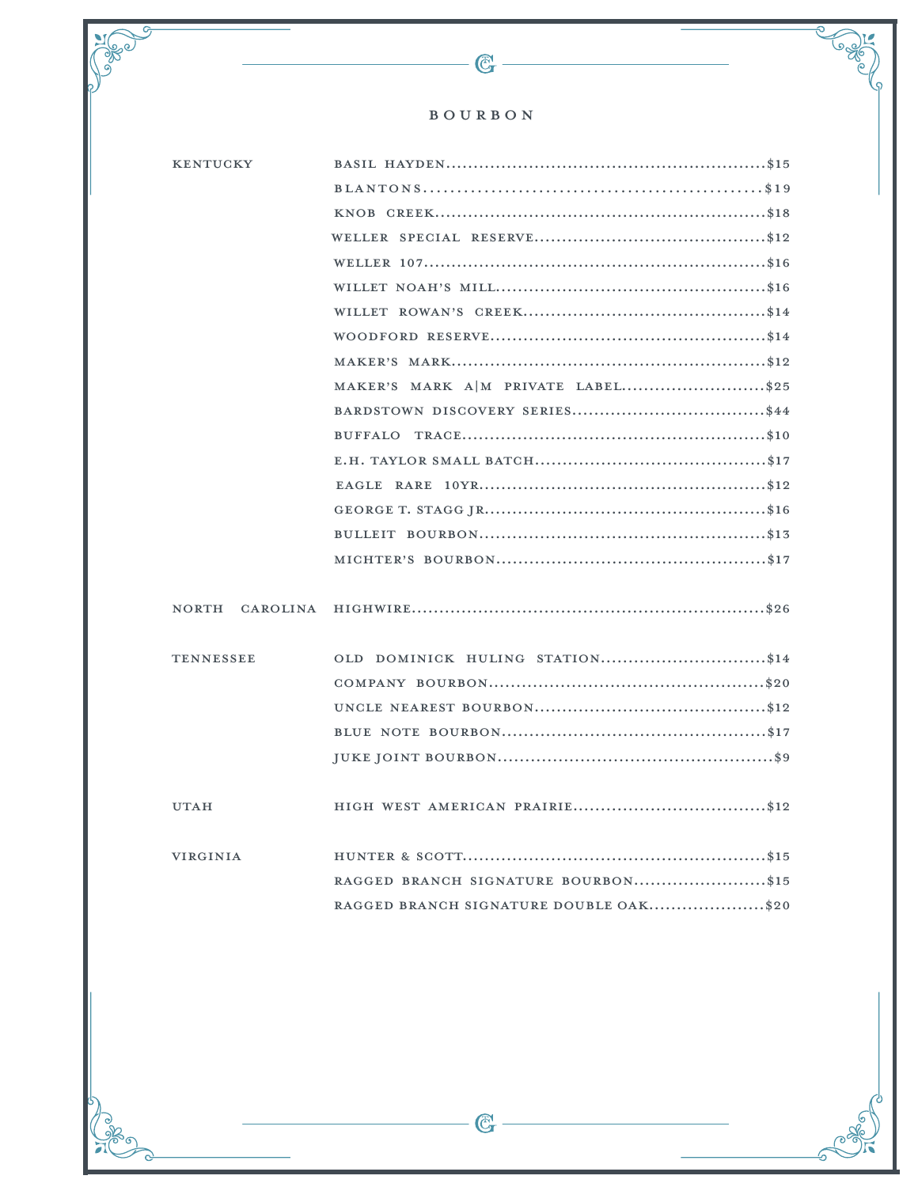### $\mathbb B$  O U R  $\mathbb B$  O N

 $-\bigodot$ 

**Neger** 

ಕ

5

Jeeper

්<br>ග

| <b>KENTUCKY</b>  |                                        |
|------------------|----------------------------------------|
|                  |                                        |
|                  |                                        |
|                  |                                        |
|                  |                                        |
|                  |                                        |
|                  |                                        |
|                  |                                        |
|                  |                                        |
|                  | MAKER'S MARK A M PRIVATE LABEL\$25     |
|                  |                                        |
|                  |                                        |
|                  |                                        |
|                  |                                        |
|                  |                                        |
|                  |                                        |
|                  |                                        |
|                  |                                        |
| NORTH CAROLINA   |                                        |
|                  |                                        |
| <b>TENNESSEE</b> | OLD DOMINICK HULING STATION\$14        |
|                  |                                        |
|                  |                                        |
|                  |                                        |
|                  |                                        |
|                  |                                        |
| <b>UTAH</b>      |                                        |
|                  |                                        |
| <b>VIRGINIA</b>  |                                        |
|                  | RAGGED BRANCH SIGNATURE BOURBON\$15    |
|                  | RAGGED BRANCH SIGNATURE DOUBLE OAK\$20 |
|                  |                                        |

 $\overline{\mathbb{G}}$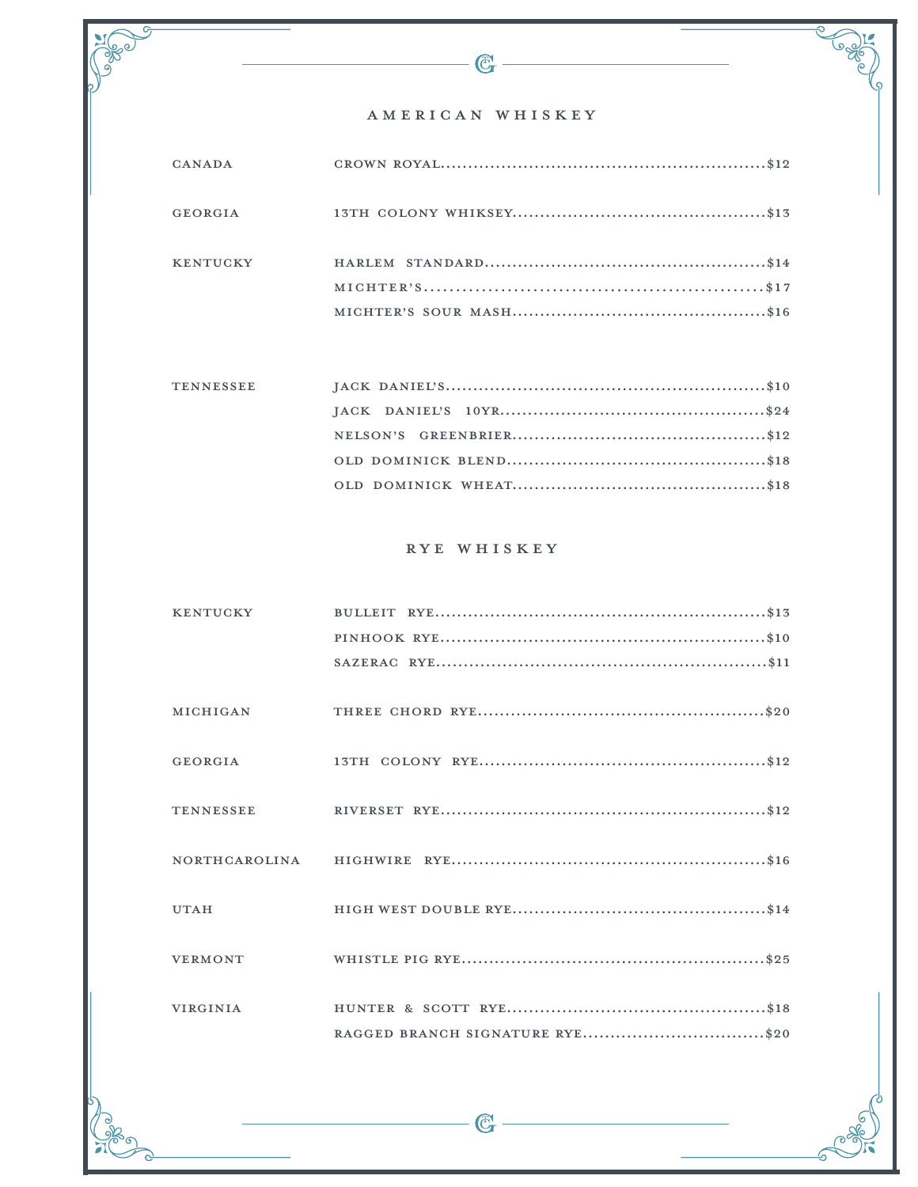### AMERICAN WHISKEY

 $\mathbb{G}$  –

 $\overline{G}$ 

(<br>P

| CANADA          |  |
|-----------------|--|
| GEORGIA         |  |
| <b>KENTUCKY</b> |  |
|                 |  |

| <b>TENNESSEE</b> |  |
|------------------|--|
|                  |  |
|                  |  |
|                  |  |
|                  |  |

### RYE WHISKEY

| <b>KENTUCKY</b> |  |
|-----------------|--|
|                 |  |
|                 |  |
|                 |  |
| MICHIGAN        |  |
|                 |  |
| GEORGIA         |  |
|                 |  |
|                 |  |
|                 |  |
|                 |  |
|                 |  |
| <b>UTAH</b>     |  |
|                 |  |
| <b>VERMONT</b>  |  |
|                 |  |
| <b>VIRGINIA</b> |  |
|                 |  |

 $\mathbb{C}$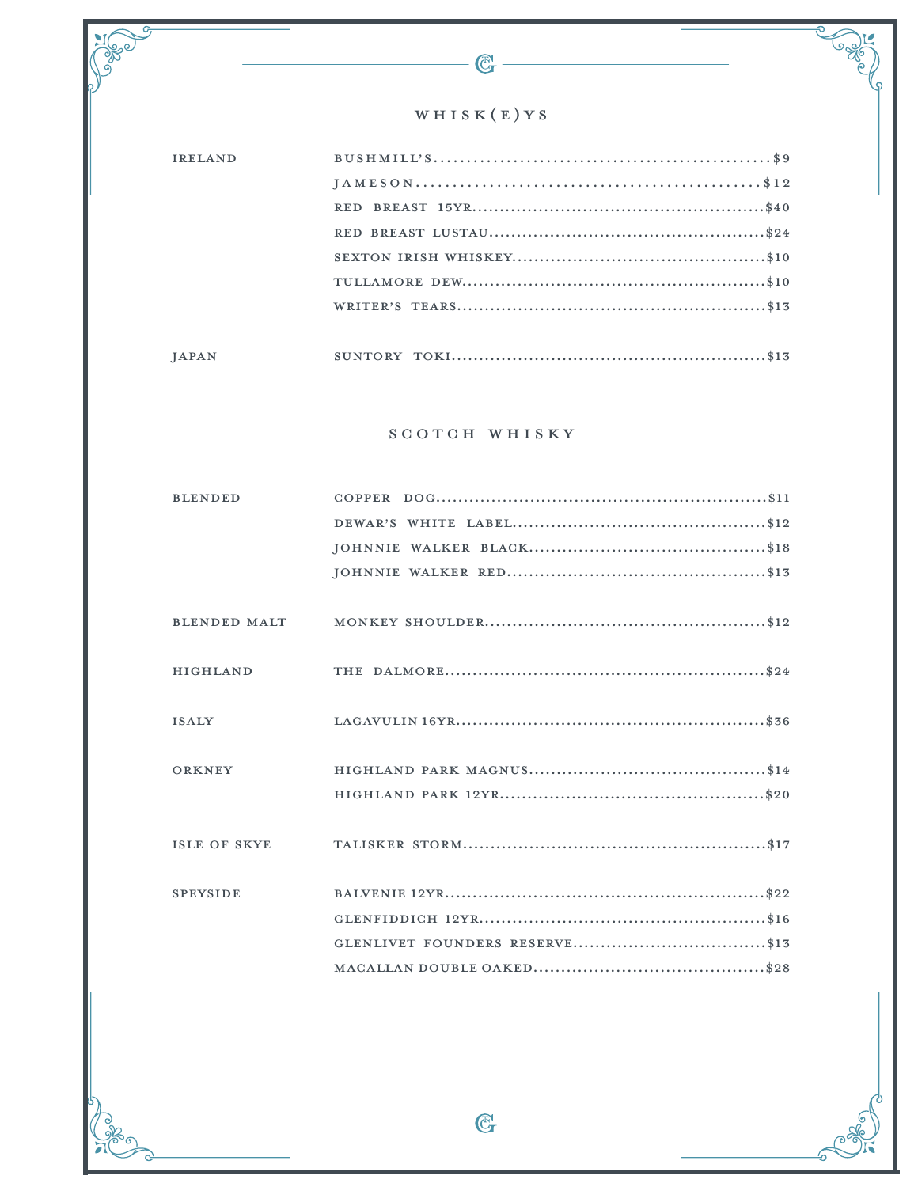### WHISK(E)YS

 $\mathbb{G}$ 

.<br>൧

| <b>IRELAND</b> |  |
|----------------|--|
|                |  |
|                |  |
|                |  |
|                |  |
|                |  |
|                |  |
|                |  |
| <b>JAPAN</b>   |  |

### SCOTCH WHISKY

| <b>BLENDED</b>      |  |
|---------------------|--|
|                     |  |
|                     |  |
|                     |  |
|                     |  |
| <b>BLENDED MALT</b> |  |
|                     |  |
| <b>HIGHLAND</b>     |  |
|                     |  |
| <b>ISALY</b>        |  |
|                     |  |
|                     |  |
| ORKNEY              |  |
|                     |  |
|                     |  |
| ISLE OF SKYE        |  |
|                     |  |
| <b>SPEYSIDE</b>     |  |
|                     |  |
|                     |  |
|                     |  |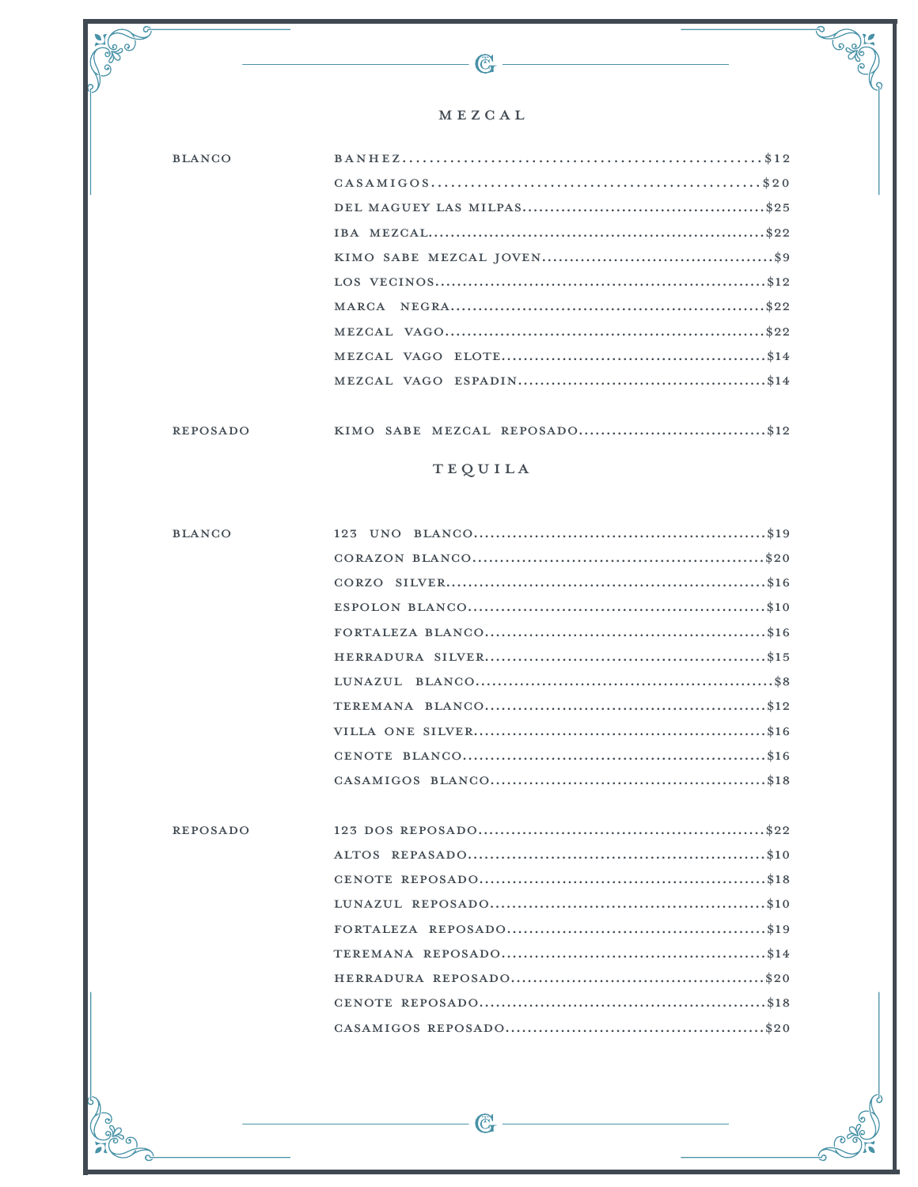### MEZCAL

 $\mathbb{G}$ 

,<br>ග

| <b>BLANCO</b> |  |
|---------------|--|
|               |  |
|               |  |
|               |  |
|               |  |
|               |  |
|               |  |
|               |  |
|               |  |
|               |  |
|               |  |

#### REPOSADO

### **TEQUILA**

| <b>BLANCO</b>   |  |
|-----------------|--|
|                 |  |
|                 |  |
|                 |  |
|                 |  |
|                 |  |
|                 |  |
|                 |  |
|                 |  |
|                 |  |
|                 |  |
|                 |  |
|                 |  |
| <b>REPOSADO</b> |  |
|                 |  |
|                 |  |
|                 |  |
|                 |  |
|                 |  |
|                 |  |
|                 |  |
|                 |  |

 $-\mathbb{G}$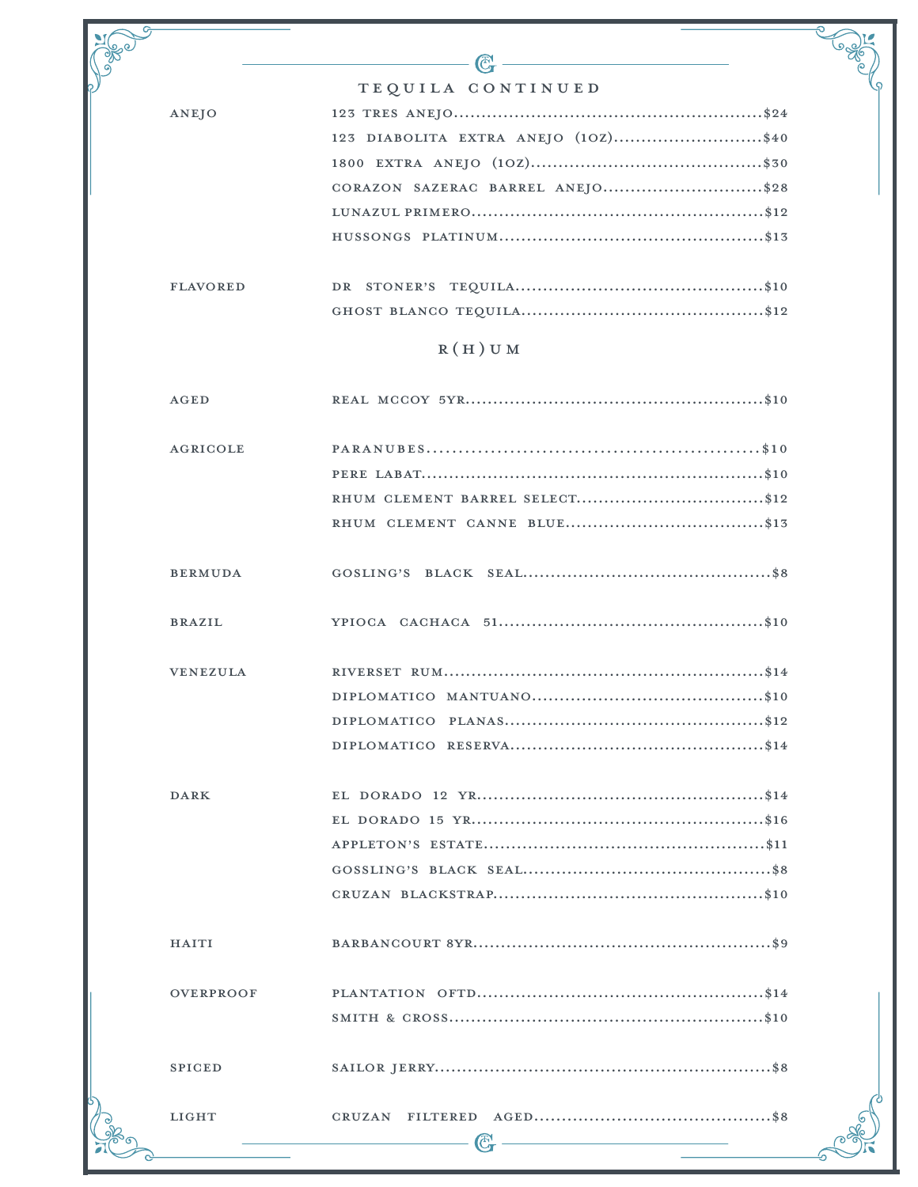|                  | C.                                  |
|------------------|-------------------------------------|
|                  | TEQUILA CONTINUED                   |
| ANEJO            |                                     |
|                  | 123 DIABOLITA EXTRA ANEJO (10Z)\$40 |
|                  |                                     |
|                  | CORAZON SAZERAC BARREL ANEJO\$28    |
|                  |                                     |
|                  |                                     |
| <b>FLAVORED</b>  |                                     |
|                  |                                     |
|                  | $R(H)$ U M                          |
| <b>AGED</b>      |                                     |
| <b>AGRICOLE</b>  |                                     |
|                  |                                     |
|                  | RHUM CLEMENT BARREL SELECT\$12      |
|                  |                                     |
| <b>BERMUDA</b>   |                                     |
| <b>BRAZIL</b>    |                                     |
| <b>VENEZULA</b>  |                                     |
|                  |                                     |
|                  |                                     |
|                  |                                     |
| <b>DARK</b>      |                                     |
|                  |                                     |
|                  |                                     |
|                  |                                     |
|                  |                                     |
| <b>HAITI</b>     |                                     |
| <b>OVERPROOF</b> |                                     |
|                  |                                     |
| <b>SPICED</b>    |                                     |
| <b>LIGHT</b>     |                                     |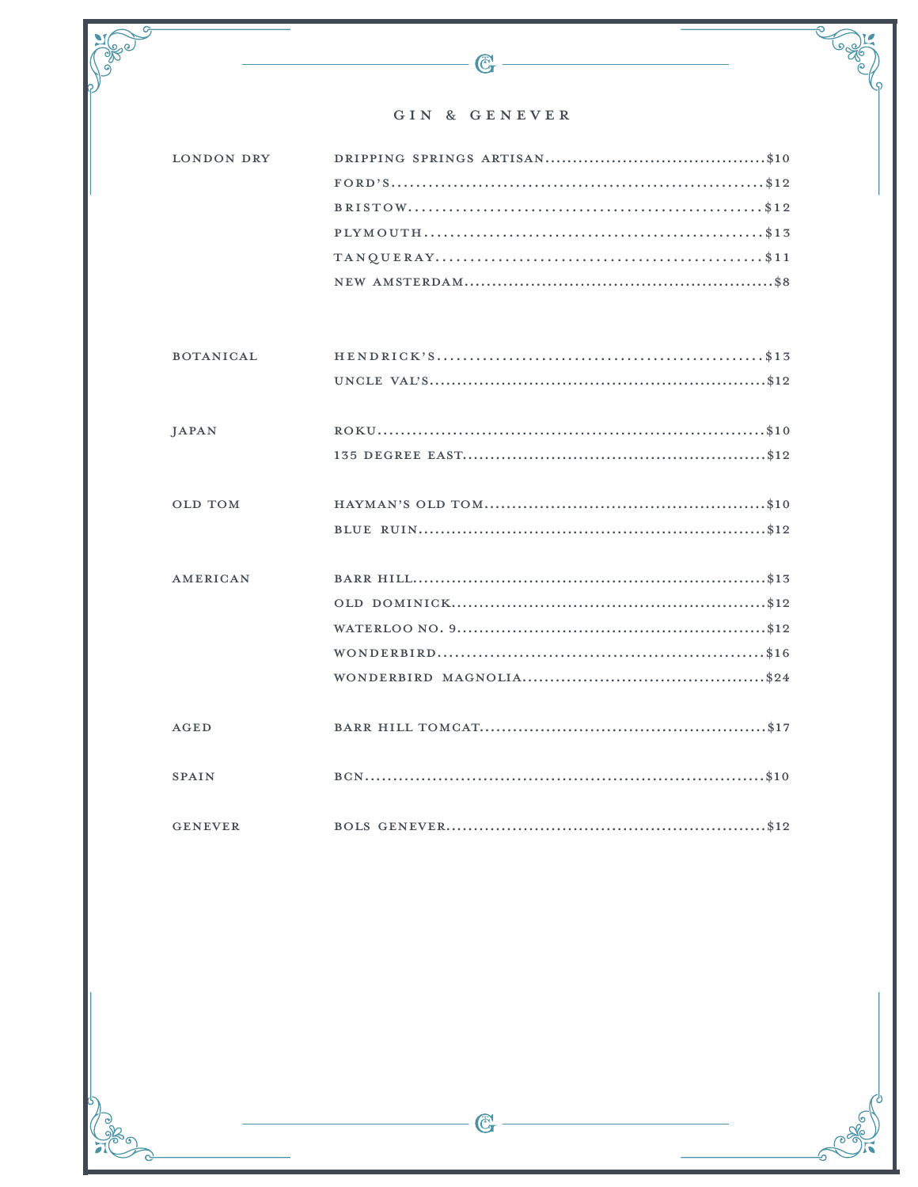### GIN & GENEVER

 $\overline{\mathbb{G}}$ 

参。

ಕ

5

Composition

,<br>ග

| $\texttt{TANQUERAY} \dots \dots \dots \dots \dots \dots \dots \dots \dots \dots \dots \dots \dots \dots \, \$11$ |
|------------------------------------------------------------------------------------------------------------------|
|                                                                                                                  |

| <b>BOTANICAL</b> |  |
|------------------|--|
|                  |  |
|                  |  |
| JAPAN            |  |
|                  |  |
|                  |  |
| <b>OLD TOM</b>   |  |
|                  |  |
|                  |  |
| <b>AMERICAN</b>  |  |
|                  |  |
|                  |  |
|                  |  |
|                  |  |
|                  |  |
| AGED             |  |
|                  |  |
| <b>SPAIN</b>     |  |
|                  |  |
| <b>GENEVER</b>   |  |
|                  |  |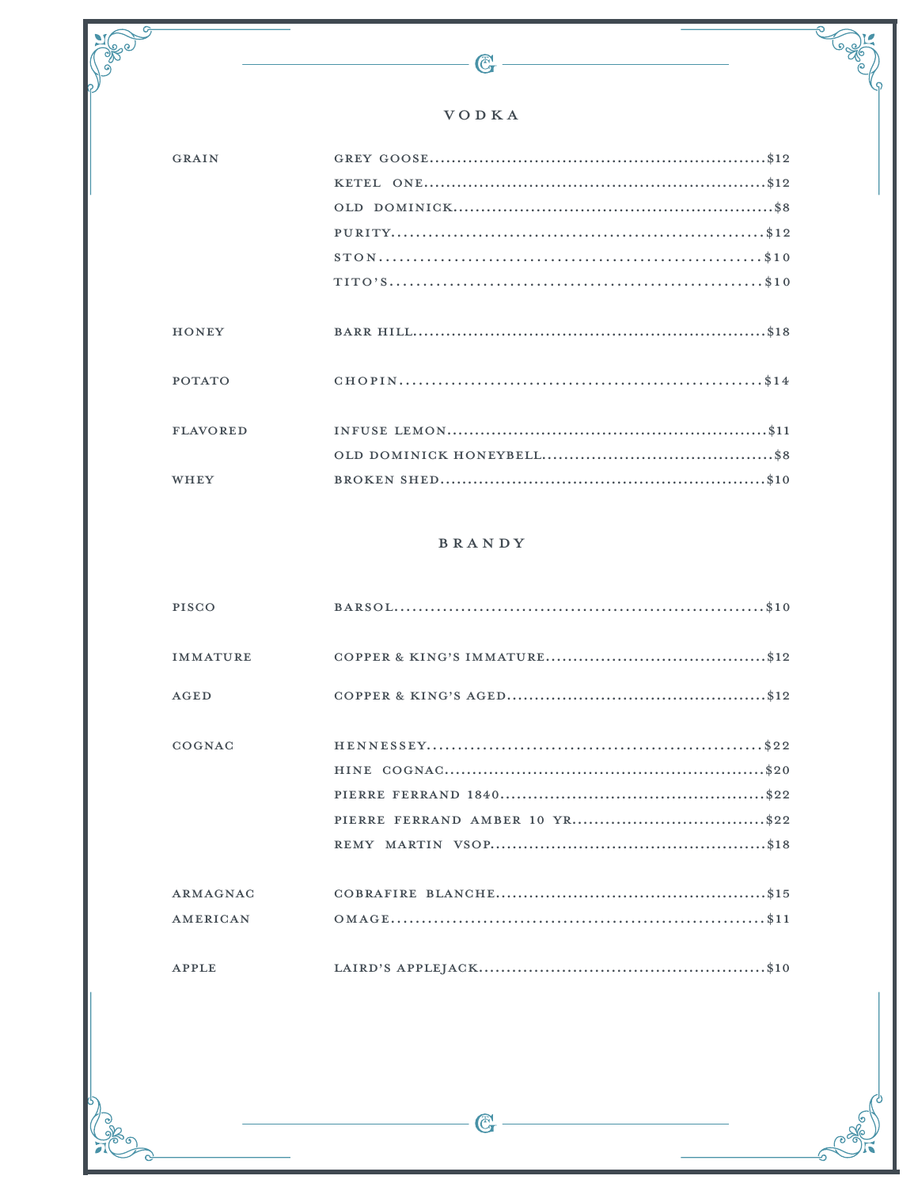### $\boldsymbol{\mathrm{V}}\,\boldsymbol{\mathrm{O}}$ D $\boldsymbol{\mathrm{K}}\,\boldsymbol{\mathrm{A}}$

 $-\bigcircled{C_{\mathbf{T}}}$ 

 $\frac{1}{3}$ 

CREW 1

ಕ್

5

| GRAIN           |  |
|-----------------|--|
|                 |  |
|                 |  |
|                 |  |
|                 |  |
|                 |  |
|                 |  |
| <b>HONEY</b>    |  |
|                 |  |
| <b>POTATO</b>   |  |
|                 |  |
| <b>FLAVORED</b> |  |
|                 |  |
| WHEY            |  |
|                 |  |

#### BRANDY

| PISCO           |  |
|-----------------|--|
| <b>IMMATURE</b> |  |
| AGED            |  |
| COGNAC          |  |
|                 |  |
|                 |  |
|                 |  |
|                 |  |
| ARMAGNAC        |  |
| AMERICAN        |  |
| APPLE           |  |

 $\overline{\mathbb{G}}$  –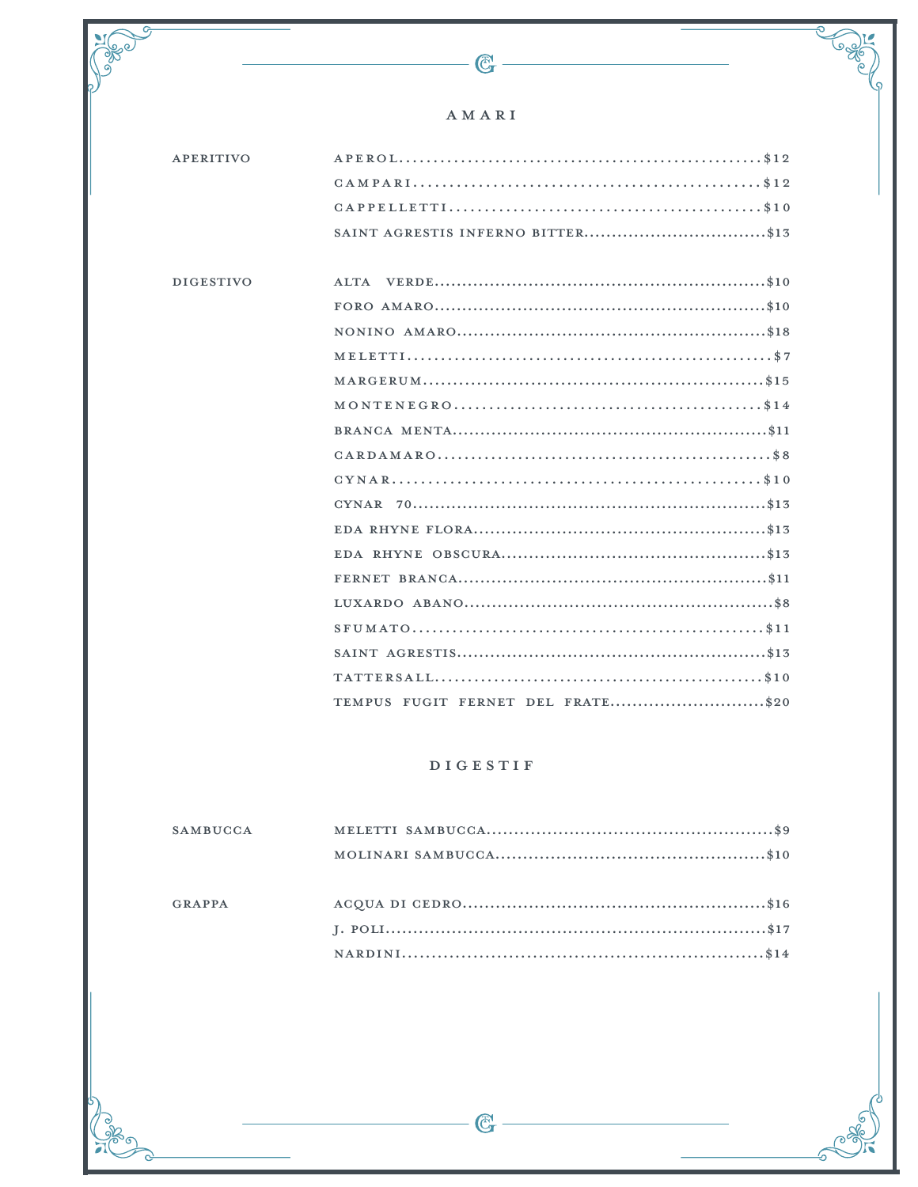### AMARI

G

| <b>APERITIVO</b> |                                                                                      |
|------------------|--------------------------------------------------------------------------------------|
|                  |                                                                                      |
|                  |                                                                                      |
|                  |                                                                                      |
|                  |                                                                                      |
| <b>DIGESTIVO</b> |                                                                                      |
|                  |                                                                                      |
|                  |                                                                                      |
|                  |                                                                                      |
|                  |                                                                                      |
|                  | $\verb MONTENCER0 , \verb  , \verb  , \verb  , \verb  , \verb  , \verb  , \verb 14 $ |
|                  |                                                                                      |
|                  |                                                                                      |
|                  |                                                                                      |
|                  |                                                                                      |
|                  |                                                                                      |
|                  |                                                                                      |
|                  |                                                                                      |
|                  |                                                                                      |
|                  |                                                                                      |
|                  |                                                                                      |
|                  |                                                                                      |
|                  | TEMPUS FUGIT FERNET DEL FRATE\$20                                                    |
|                  |                                                                                      |
|                  |                                                                                      |
|                  | <b>DIGESTIF</b>                                                                      |
|                  |                                                                                      |
| <b>SAMBUCCA</b>  |                                                                                      |
|                  |                                                                                      |
|                  |                                                                                      |

**GRAPPA**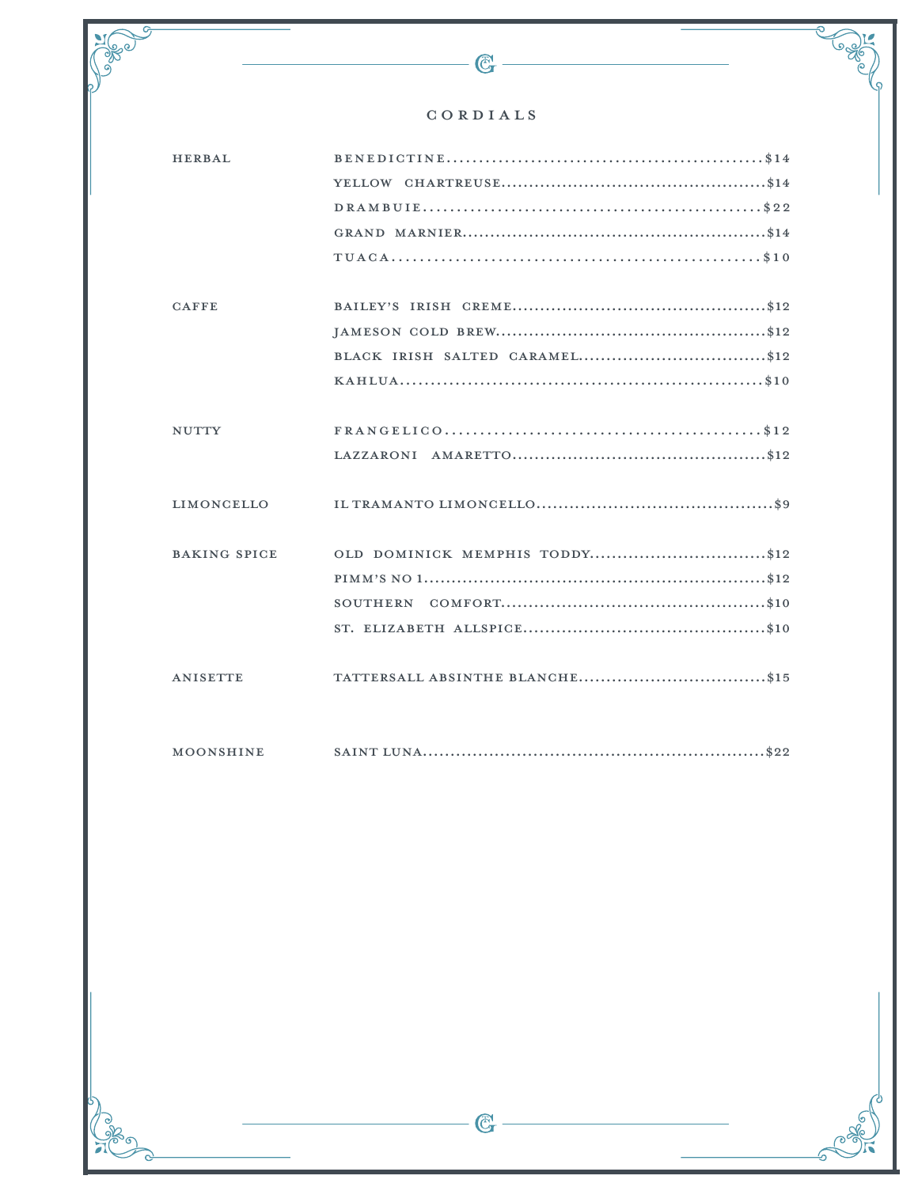#### $C\;O\;R\;D\;I\;A\;L\;S$

 $\mathbb{G}$ 

,<br>ග

| <b>HERBAL</b>       |                                |
|---------------------|--------------------------------|
|                     |                                |
|                     |                                |
|                     |                                |
|                     |                                |
|                     |                                |
| <b>CAFFE</b>        |                                |
|                     |                                |
|                     |                                |
|                     |                                |
|                     |                                |
| <b>NUTTY</b>        |                                |
|                     |                                |
|                     |                                |
| LIMONCELLO          |                                |
|                     |                                |
| <b>BAKING SPICE</b> | OLD DOMINICK MEMPHIS TODDY\$12 |
|                     |                                |
|                     | SOUTHERN                       |
|                     |                                |
|                     |                                |
| <b>ANISETTE</b>     |                                |
|                     |                                |
|                     |                                |

 $\verb|MOONSHINE| \qquad \qquad \verb|SAINT LUNA| (1.11) S22| \qquad \qquad \verb|SDR: 222| (2.11) S22| (2.11) S22| (2.11) S22| (2.11) S22| (2.11) S22| (2.11) S22| (2.11) S22| (2.11) S22| (2.11) S22| (2.11) S22| (2.11) S22| (2.11) S22| (2.11) S22| (2.11) S22| (2.11) S22| (2.11) S22| (2.11) S22|$ 

 $\overline{\text{C}}$